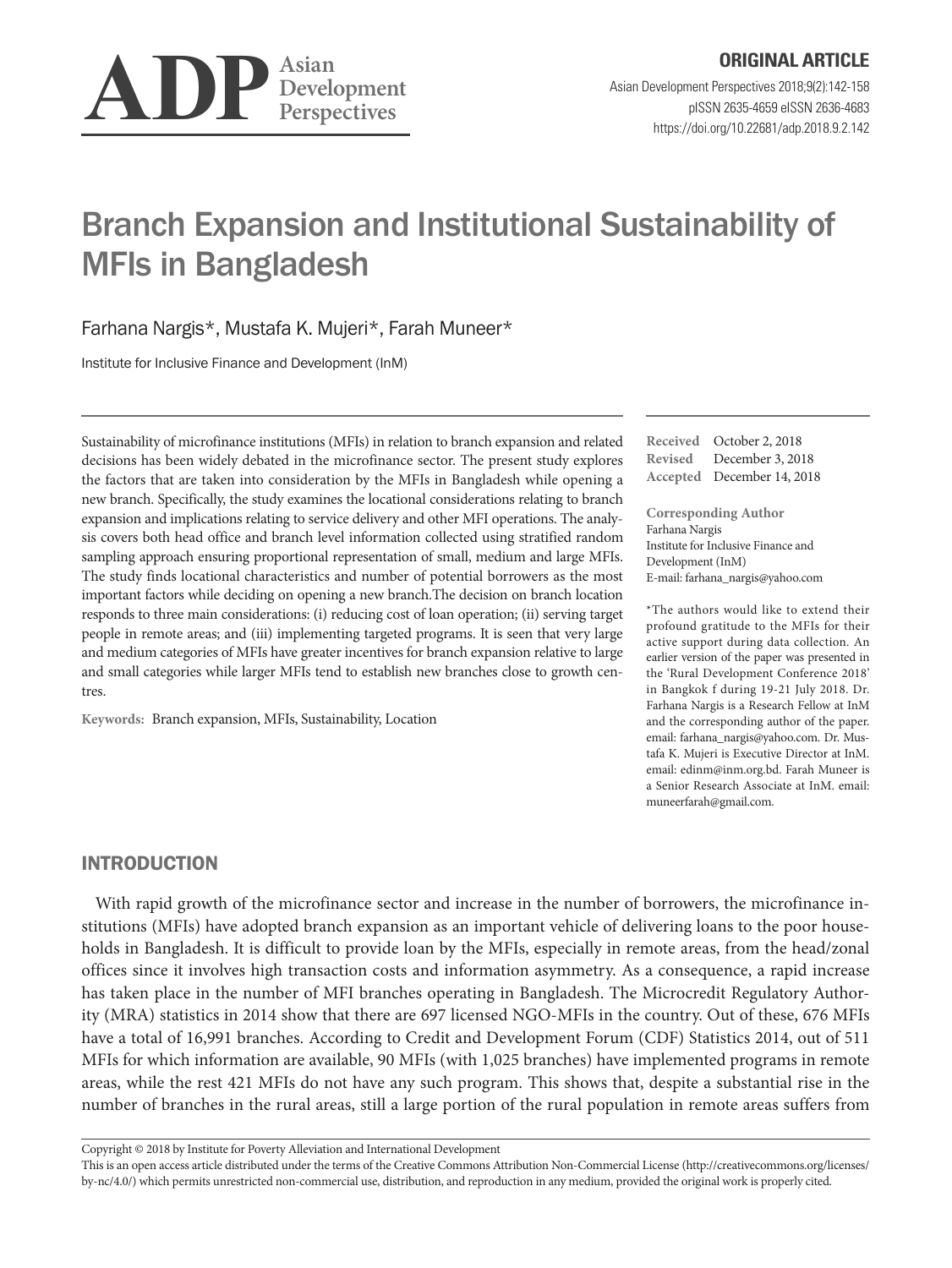

# Branch Expansion and Institutional Sustainability of MFIs in Bangladesh

Farhana Nargis\*, Mustafa K. Mujeri\*, Farah Muneer\*

Institute for Inclusive Finance and Development (InM)

Sustainability of microfinance institutions (MFIs) in relation to branch expansion and related decisions has been widely debated in the microfinance sector. The present study explores the factors that are taken into consideration by the MFIs in Bangladesh while opening a new branch. Specifically, the study examines the locational considerations relating to branch expansion and implications relating to service delivery and other MFI operations. The analysis covers both head office and branch level information collected using stratified random sampling approach ensuring proportional representation of small, medium and large MFIs. The study finds locational characteristics and number of potential borrowers as the most important factors while deciding on opening a new branch.The decision on branch location responds to three main considerations: (i) reducing cost of loan operation; (ii) serving target people in remote areas; and (iii) implementing targeted programs. It is seen that very large and medium categories of MFIs have greater incentives for branch expansion relative to large and small categories while larger MFIs tend to establish new branches close to growth centres.

**Keywords:** Branch expansion, MFIs, Sustainability, Location

**Received** October 2, 2018 **Revised** December 3, 2018 **Accepted** December 14, 2018

**Corresponding Author** Farhana Nargis Institute for Inclusive Finance and Development (InM) E-mail: [farhana\\_nargis@yahoo.com](mailto:farhana_nargis@yahoo.com)

\*The authors would like to extend their profound gratitude to the MFIs for their active support during data collection. An earlier version of the paper was presented in the 'Rural Development Conference 2018' in Bangkok f during 19-21 July 2018. Dr. Farhana Nargis is a Research Fellow at InM and the corresponding author of the paper. email: [farhana\\_nargis@yahoo.com.](mailto:farhana_nargis@yahoo.com) Dr. Mustafa K. Mujeri is Executive Director at InM. email: [edinm@inm.org.bd](mailto:edinm@inm.org.bd). Farah Muneer is a Senior Research Associate at InM. email: [muneerfarah@gmail.com.](mailto:muneerfarah@gmail.com)

# INTRODUCTION

With rapid growth of the microfinance sector and increase in the number of borrowers, the microfinance institutions (MFIs) have adopted branch expansion as an important vehicle of delivering loans to the poor households in Bangladesh. It is difficult to provide loan by the MFIs, especially in remote areas, from the head/zonal offices since it involves high transaction costs and information asymmetry. As a consequence, a rapid increase has taken place in the number of MFI branches operating in Bangladesh. The Microcredit Regulatory Authority (MRA) statistics in 2014 show that there are 697 licensed NGO-MFIs in the country. Out of these, 676 MFIs have a total of 16,991 branches. According to Credit and Development Forum (CDF) Statistics 2014, out of 511 MFIs for which information are available, 90 MFIs (with 1,025 branches) have implemented programs in remote areas, while the rest 421 MFIs do not have any such program. This shows that, despite a substantial rise in the number of branches in the rural areas, still a large portion of the rural population in remote areas suffers from

Copyright © 2018 by Institute for Poverty Alleviation and International Development

This is an open access article distributed under the terms of the Creative Commons Attribution Non-Commercial License (http://creativecommons.org/licenses/ by-nc/4.0/) which permits unrestricted non-commercial use, distribution, and reproduction in any medium, provided the original work is properly cited.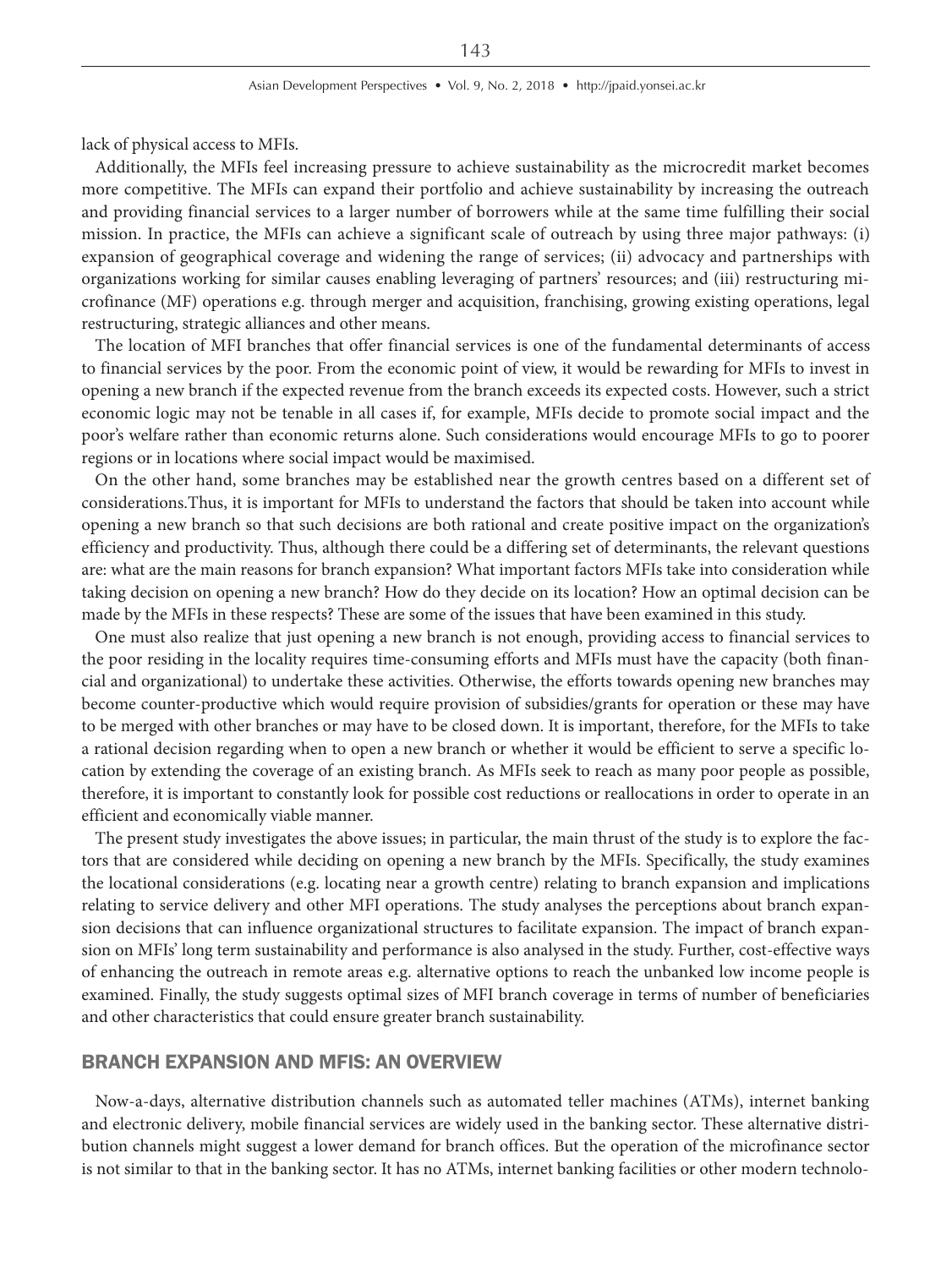lack of physical access to MFIs.

Additionally, the MFIs feel increasing pressure to achieve sustainability as the microcredit market becomes more competitive. The MFIs can expand their portfolio and achieve sustainability by increasing the outreach and providing financial services to a larger number of borrowers while at the same time fulfilling their social mission. In practice, the MFIs can achieve a significant scale of outreach by using three major pathways: (i) expansion of geographical coverage and widening the range of services; (ii) advocacy and partnerships with organizations working for similar causes enabling leveraging of partners' resources; and (iii) restructuring microfinance (MF) operations e.g. through merger and acquisition, franchising, growing existing operations, legal restructuring, strategic alliances and other means.

The location of MFI branches that offer financial services is one of the fundamental determinants of access to financial services by the poor. From the economic point of view, it would be rewarding for MFIs to invest in opening a new branch if the expected revenue from the branch exceeds its expected costs. However, such a strict economic logic may not be tenable in all cases if, for example, MFIs decide to promote social impact and the poor's welfare rather than economic returns alone. Such considerations would encourage MFIs to go to poorer regions or in locations where social impact would be maximised.

On the other hand, some branches may be established near the growth centres based on a different set of considerations.Thus, it is important for MFIs to understand the factors that should be taken into account while opening a new branch so that such decisions are both rational and create positive impact on the organization's efficiency and productivity. Thus, although there could be a differing set of determinants, the relevant questions are: what are the main reasons for branch expansion? What important factors MFIs take into consideration while taking decision on opening a new branch? How do they decide on its location? How an optimal decision can be made by the MFIs in these respects? These are some of the issues that have been examined in this study.

One must also realize that just opening a new branch is not enough, providing access to financial services to the poor residing in the locality requires time-consuming efforts and MFIs must have the capacity (both financial and organizational) to undertake these activities. Otherwise, the efforts towards opening new branches may become counter-productive which would require provision of subsidies/grants for operation or these may have to be merged with other branches or may have to be closed down. It is important, therefore, for the MFIs to take a rational decision regarding when to open a new branch or whether it would be efficient to serve a specific location by extending the coverage of an existing branch. As MFIs seek to reach as many poor people as possible, therefore, it is important to constantly look for possible cost reductions or reallocations in order to operate in an efficient and economically viable manner.

The present study investigates the above issues; in particular, the main thrust of the study is to explore the factors that are considered while deciding on opening a new branch by the MFIs. Specifically, the study examines the locational considerations (e.g. locating near a growth centre) relating to branch expansion and implications relating to service delivery and other MFI operations. The study analyses the perceptions about branch expansion decisions that can influence organizational structures to facilitate expansion. The impact of branch expansion on MFIs' long term sustainability and performance is also analysed in the study. Further, cost-effective ways of enhancing the outreach in remote areas e.g. alternative options to reach the unbanked low income people is examined. Finally, the study suggests optimal sizes of MFI branch coverage in terms of number of beneficiaries and other characteristics that could ensure greater branch sustainability.

# BRANCH EXPANSION AND MFIS: AN OVERVIEW

Now-a-days, alternative distribution channels such as automated teller machines (ATMs), internet banking and electronic delivery, mobile financial services are widely used in the banking sector. These alternative distribution channels might suggest a lower demand for branch offices. But the operation of the microfinance sector is not similar to that in the banking sector. It has no ATMs, internet banking facilities or other modern technolo-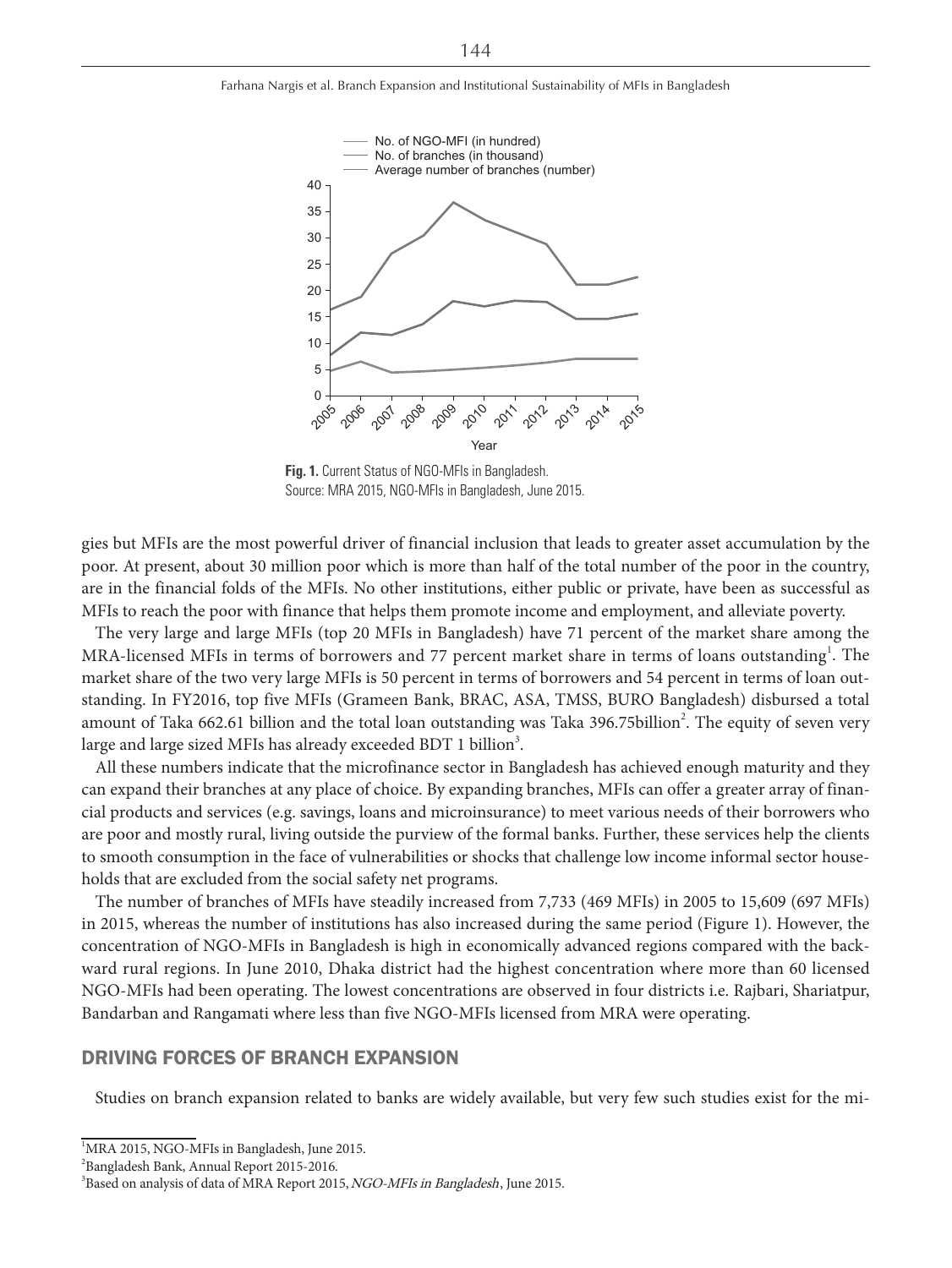

**Fig. 1.** Current Status of NGO-MFIs in Bangladesh. Source: MRA 2015, NGO-MFIs in Bangladesh, June 2015.

gies but MFIs are the most powerful driver of financial inclusion that leads to greater asset accumulation by the poor. At present, about 30 million poor which is more than half of the total number of the poor in the country, are in the financial folds of the MFIs. No other institutions, either public or private, have been as successful as MFIs to reach the poor with finance that helps them promote income and employment, and alleviate poverty.

The very large and large MFIs (top 20 MFIs in Bangladesh) have 71 percent of the market share among the MRA-licensed MFIs in terms of borrowers and 77 percent market share in terms of loans outstanding<sup>1</sup>. The market share of the two very large MFIs is 50 percent in terms of borrowers and 54 percent in terms of loan outstanding. In FY2016, top five MFIs (Grameen Bank, BRAC, ASA, TMSS, BURO Bangladesh) disbursed a total amount of Taka 662.61 billion and the total loan outstanding was Taka 396.75billion<sup>2</sup>. The equity of seven very large and large sized MFIs has already exceeded BDT 1 billion $^3$ .

All these numbers indicate that the microfinance sector in Bangladesh has achieved enough maturity and they can expand their branches at any place of choice. By expanding branches, MFIs can offer a greater array of financial products and services (e.g. savings, loans and microinsurance) to meet various needs of their borrowers who are poor and mostly rural, living outside the purview of the formal banks. Further, these services help the clients to smooth consumption in the face of vulnerabilities or shocks that challenge low income informal sector households that are excluded from the social safety net programs.

The number of branches of MFIs have steadily increased from 7,733 (469 MFIs) in 2005 to 15,609 (697 MFIs) in 2015, whereas the number of institutions has also increased during the same period (Figure 1). However, the concentration of NGO-MFIs in Bangladesh is high in economically advanced regions compared with the backward rural regions. In June 2010, Dhaka district had the highest concentration where more than 60 licensed NGO-MFIs had been operating. The lowest concentrations are observed in four districts i.e. Rajbari, Shariatpur, Bandarban and Rangamati where less than five NGO-MFIs licensed from MRA were operating.

# DRIVING FORCES OF BRANCH EXPANSION

Studies on branch expansion related to banks are widely available, but very few such studies exist for the mi-

<sup>&</sup>lt;sup>1</sup>MRA 2015, NGO-MFIs in Bangladesh, June 2015.

<sup>2</sup> Bangladesh Bank, Annual Report 2015-2016.

<sup>&</sup>lt;sup>3</sup>Based on analysis of data of MRA Report 2015, NGO-MFIs in Bangladesh, June 2015.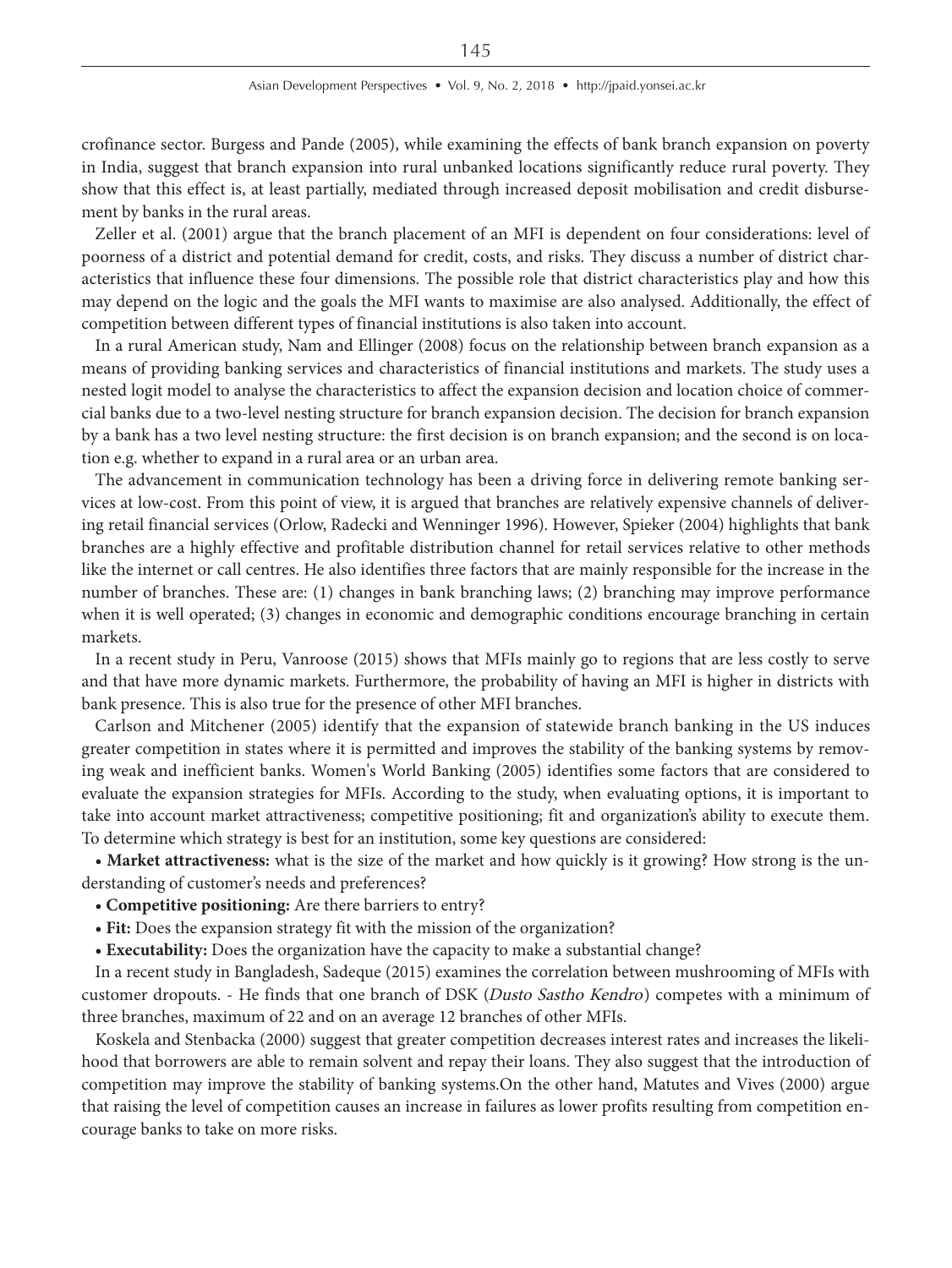crofinance sector. Burgess and Pande (2005), while examining the effects of bank branch expansion on poverty in India, suggest that branch expansion into rural unbanked locations significantly reduce rural poverty. They show that this effect is, at least partially, mediated through increased deposit mobilisation and credit disbursement by banks in the rural areas.

Zeller et al. (2001) argue that the branch placement of an MFI is dependent on four considerations: level of poorness of a district and potential demand for credit, costs, and risks. They discuss a number of district characteristics that influence these four dimensions. The possible role that district characteristics play and how this may depend on the logic and the goals the MFI wants to maximise are also analysed. Additionally, the effect of competition between different types of financial institutions is also taken into account.

In a rural American study, Nam and Ellinger (2008) focus on the relationship between branch expansion as a means of providing banking services and characteristics of financial institutions and markets. The study uses a nested logit model to analyse the characteristics to affect the expansion decision and location choice of commercial banks due to a two-level nesting structure for branch expansion decision. The decision for branch expansion by a bank has a two level nesting structure: the first decision is on branch expansion; and the second is on location e.g. whether to expand in a rural area or an urban area.

The advancement in communication technology has been a driving force in delivering remote banking services at low-cost. From this point of view, it is argued that branches are relatively expensive channels of delivering retail financial services (Orlow, Radecki and Wenninger 1996). However, Spieker (2004) highlights that bank branches are a highly effective and profitable distribution channel for retail services relative to other methods like the internet or call centres. He also identifies three factors that are mainly responsible for the increase in the number of branches. These are: (1) changes in bank branching laws; (2) branching may improve performance when it is well operated; (3) changes in economic and demographic conditions encourage branching in certain markets.

In a recent study in Peru, Vanroose (2015) shows that MFIs mainly go to regions that are less costly to serve and that have more dynamic markets. Furthermore, the probability of having an MFI is higher in districts with bank presence. This is also true for the presence of other MFI branches.

Carlson and Mitchener (2005) identify that the expansion of statewide branch banking in the US induces greater competition in states where it is permitted and improves the stability of the banking systems by removing weak and inefficient banks. Women's World Banking (2005) identifies some factors that are considered to evaluate the expansion strategies for MFIs. According to the study, when evaluating options, it is important to take into account market attractiveness; competitive positioning; fit and organization's ability to execute them. To determine which strategy is best for an institution, some key questions are considered:

**• Market attractiveness:** what is the size of the market and how quickly is it growing? How strong is the understanding of customer's needs and preferences?

- **Competitive positioning:** Are there barriers to entry?
- **Fit:** Does the expansion strategy fit with the mission of the organization?

**• Executability:** Does the organization have the capacity to make a substantial change?

In a recent study in Bangladesh, Sadeque (2015) examines the correlation between mushrooming of MFIs with customer dropouts. - He finds that one branch of DSK (Dusto Sastho Kendro) competes with a minimum of three branches, maximum of 22 and on an average 12 branches of other MFIs.

Koskela and Stenbacka (2000) suggest that greater competition decreases interest rates and increases the likelihood that borrowers are able to remain solvent and repay their loans. They also suggest that the introduction of competition may improve the stability of banking systems.On the other hand, Matutes and Vives (2000) argue that raising the level of competition causes an increase in failures as lower profits resulting from competition encourage banks to take on more risks.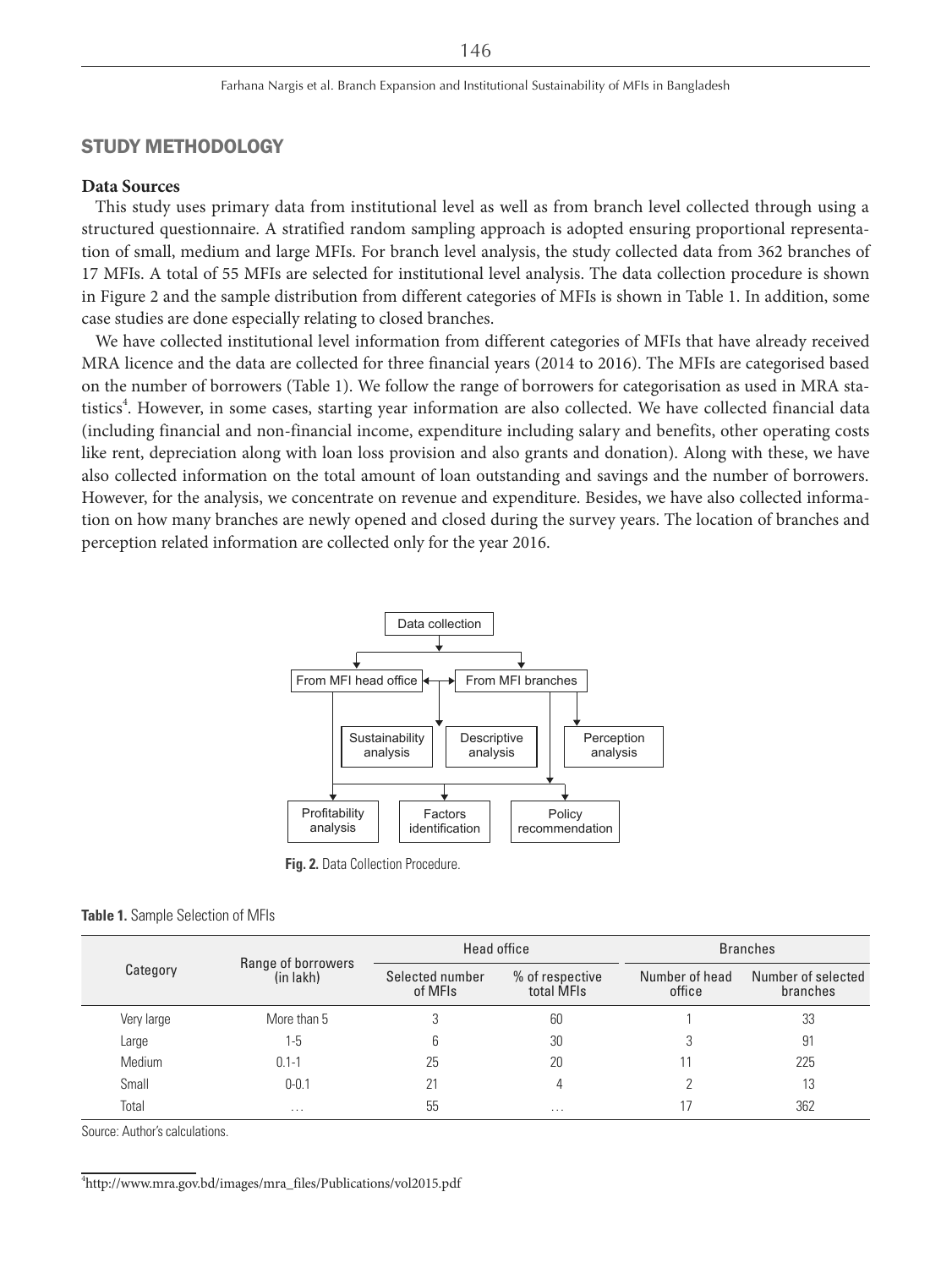# STUDY METHODOLOGY

### **Data Sources**

This study uses primary data from institutional level as well as from branch level collected through using a structured questionnaire. A stratified random sampling approach is adopted ensuring proportional representation of small, medium and large MFIs. For branch level analysis, the study collected data from 362 branches of 17 MFIs. A total of 55 MFIs are selected for institutional level analysis. The data collection procedure is shown in Figure 2 and the sample distribution from different categories of MFIs is shown in Table 1. In addition, some case studies are done especially relating to closed branches.

We have collected institutional level information from different categories of MFIs that have already received MRA licence and the data are collected for three financial years (2014 to 2016). The MFIs are categorised based on the number of borrowers (Table 1). We follow the range of borrowers for categorisation as used in MRA statistics<sup>4</sup>. However, in some cases, starting year information are also collected. We have collected financial data (including financial and non-financial income, expenditure including salary and benefits, other operating costs like rent, depreciation along with loan loss provision and also grants and donation). Along with these, we have also collected information on the total amount of loan outstanding and savings and the number of borrowers. However, for the analysis, we concentrate on revenue and expenditure. Besides, we have also collected information on how many branches are newly opened and closed during the survey years. The location of branches and perception related information are collected only for the year 2016.



**Fig. 2.** Data Collection Procedure

#### **Table 1.** Sample Selection of MFIs

|            | Range of borrowers | Head office |                               | <b>Branches</b>          |                                |  |
|------------|--------------------|-------------|-------------------------------|--------------------------|--------------------------------|--|
| Category   | (in lakh)          |             | % of respective<br>total MFIs | Number of head<br>office | Number of selected<br>branches |  |
| Very large | More than 5        |             | 60                            |                          | 33                             |  |
| Large      | 1-5                |             | 30                            |                          | 91                             |  |
| Medium     | $0.1 - 1$          | 25          | 20                            |                          | 225                            |  |
| Small      | $0 - 0.1$          | 21          |                               |                          | 13                             |  |
| Total      | $\cdots$           | 55          | $\cdots$                      |                          | 362                            |  |

Source: Author's calculations.

4 http://www.mra.gov.bd/images/mra\_files/Publications/vol2015.pdf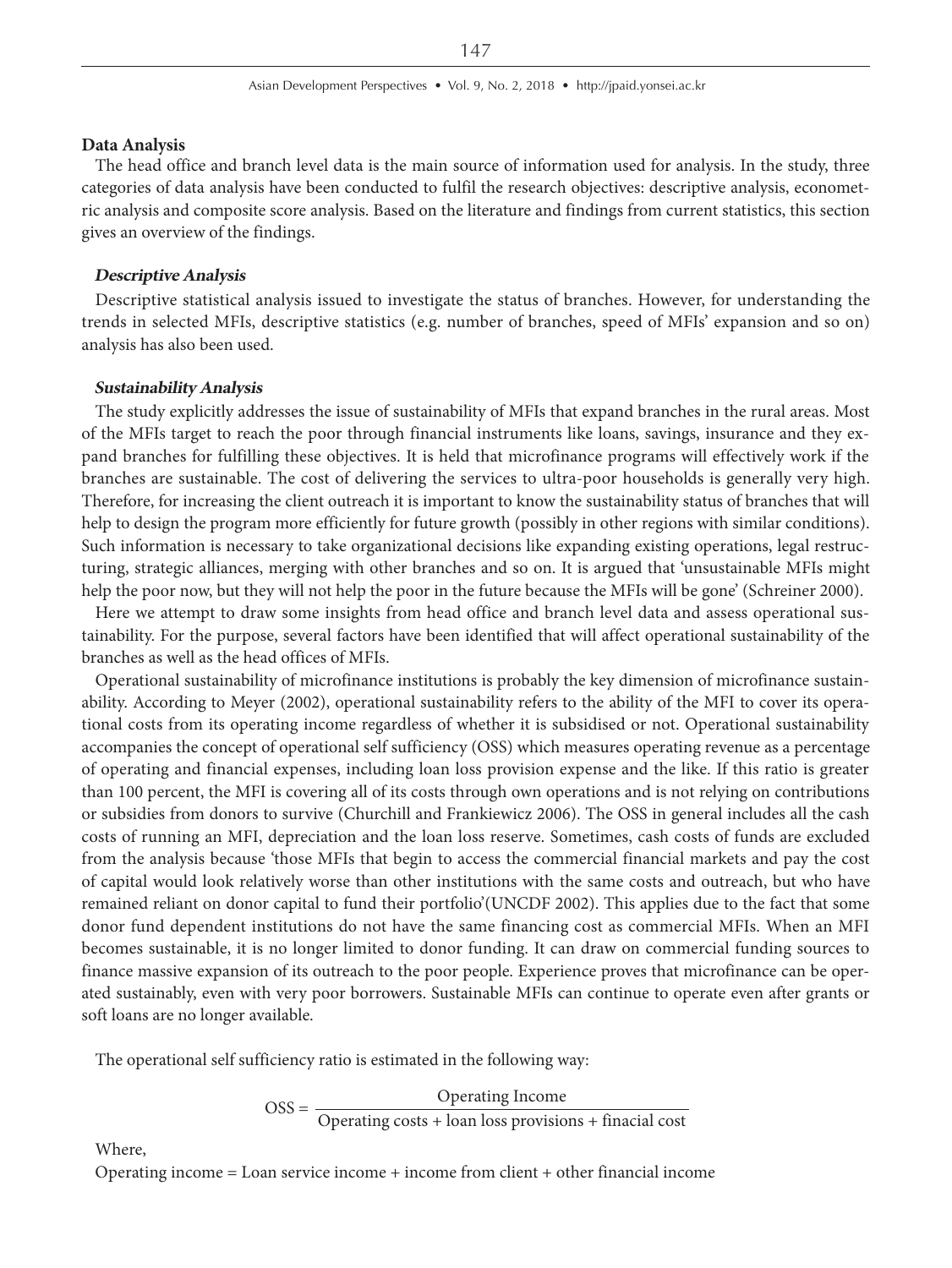#### **Data Analysis**

The head office and branch level data is the main source of information used for analysis. In the study, three categories of data analysis have been conducted to fulfil the research objectives: descriptive analysis, econometric analysis and composite score analysis. Based on the literature and findings from current statistics, this section gives an overview of the findings.

#### **Descriptive Analysis**

Descriptive statistical analysis issued to investigate the status of branches. However, for understanding the trends in selected MFIs, descriptive statistics (e.g. number of branches, speed of MFIs' expansion and so on) analysis has also been used.

#### **Sustainability Analysis**

The study explicitly addresses the issue of sustainability of MFIs that expand branches in the rural areas. Most of the MFIs target to reach the poor through financial instruments like loans, savings, insurance and they expand branches for fulfilling these objectives. It is held that microfinance programs will effectively work if the branches are sustainable. The cost of delivering the services to ultra-poor households is generally very high. Therefore, for increasing the client outreach it is important to know the sustainability status of branches that will help to design the program more efficiently for future growth (possibly in other regions with similar conditions). Such information is necessary to take organizational decisions like expanding existing operations, legal restructuring, strategic alliances, merging with other branches and so on. It is argued that 'unsustainable MFIs might help the poor now, but they will not help the poor in the future because the MFIs will be gone' (Schreiner 2000).

Here we attempt to draw some insights from head office and branch level data and assess operational sustainability. For the purpose, several factors have been identified that will affect operational sustainability of the branches as well as the head offices of MFIs.

Operational sustainability of microfinance institutions is probably the key dimension of microfinance sustainability. According to Meyer (2002), operational sustainability refers to the ability of the MFI to cover its operational costs from its operating income regardless of whether it is subsidised or not. Operational sustainability accompanies the concept of operational self sufficiency (OSS) which measures operating revenue as a percentage of operating and financial expenses, including loan loss provision expense and the like. If this ratio is greater than 100 percent, the MFI is covering all of its costs through own operations and is not relying on contributions or subsidies from donors to survive (Churchill and Frankiewicz 2006). The OSS in general includes all the cash costs of running an MFI, depreciation and the loan loss reserve. Sometimes, cash costs of funds are excluded from the analysis because 'those MFIs that begin to access the commercial financial markets and pay the cost of capital would look relatively worse than other institutions with the same costs and outreach, but who have remained reliant on donor capital to fund their portfolio'(UNCDF 2002). This applies due to the fact that some donor fund dependent institutions do not have the same financing cost as commercial MFIs. When an MFI becomes sustainable, it is no longer limited to donor funding. It can draw on commercial funding sources to finance massive expansion of its outreach to the poor people. Experience proves that microfinance can be operated sustainably, even with very poor borrowers. Sustainable MFIs can continue to operate even after grants or soft loans are no longer available.

The operational self sufficiency ratio is estimated in the following way:

$$
OSS = \frac{Operating\ Income}{Operating\ costs + loan\ loss\ provisions + financial\ cost}
$$

Where,

Operating income = Loan service income + income from client + other financial income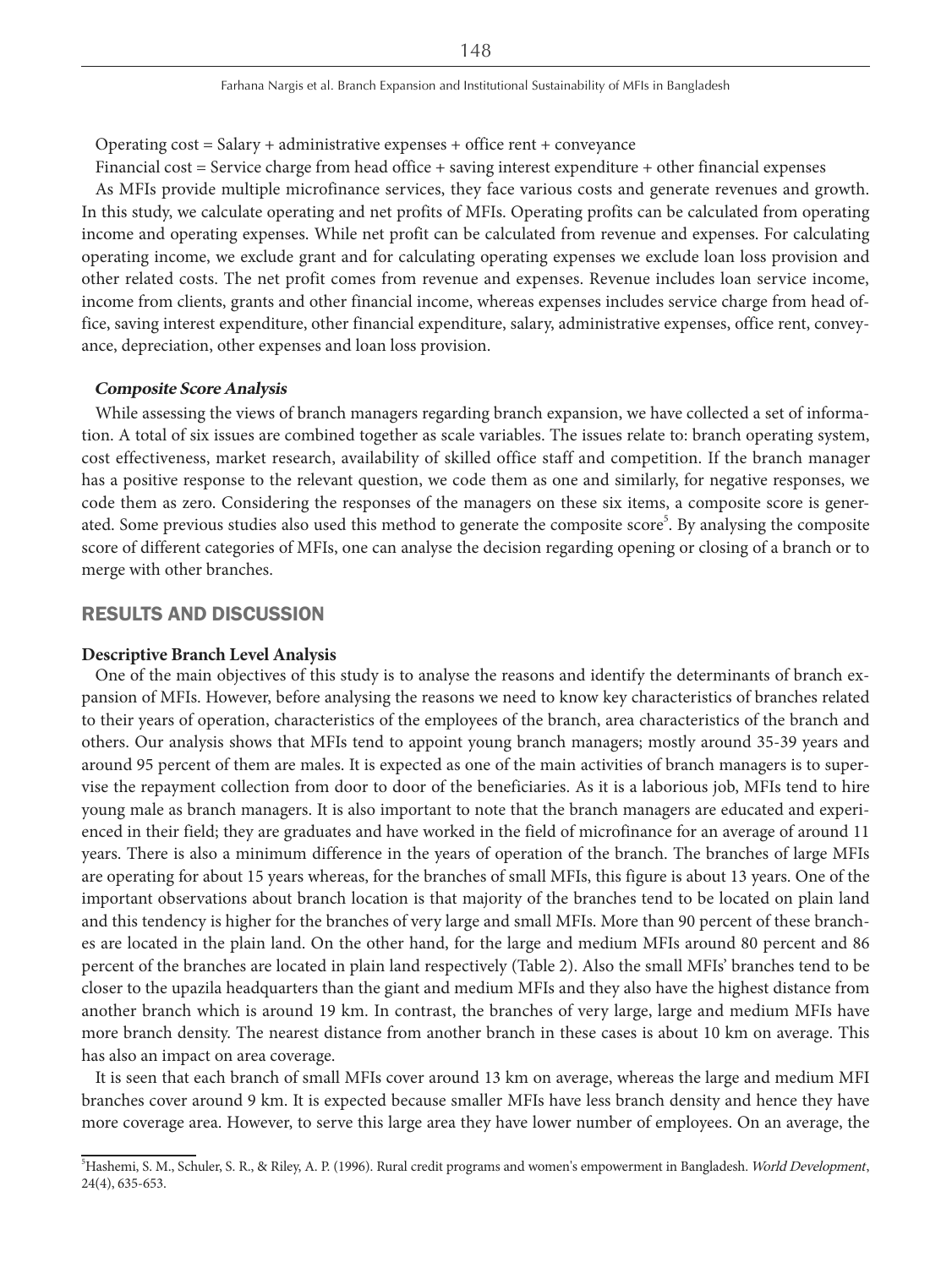Operating  $cost = Salary + administrative$  expenses + office rent + conveyance

Financial cost = Service charge from head office + saving interest expenditure + other financial expenses

As MFIs provide multiple microfinance services, they face various costs and generate revenues and growth. In this study, we calculate operating and net profits of MFIs. Operating profits can be calculated from operating income and operating expenses. While net profit can be calculated from revenue and expenses. For calculating operating income, we exclude grant and for calculating operating expenses we exclude loan loss provision and other related costs. The net profit comes from revenue and expenses. Revenue includes loan service income, income from clients, grants and other financial income, whereas expenses includes service charge from head office, saving interest expenditure, other financial expenditure, salary, administrative expenses, office rent, conveyance, depreciation, other expenses and loan loss provision.

#### **Composite Score Analysis**

While assessing the views of branch managers regarding branch expansion, we have collected a set of information. A total of six issues are combined together as scale variables. The issues relate to: branch operating system, cost effectiveness, market research, availability of skilled office staff and competition. If the branch manager has a positive response to the relevant question, we code them as one and similarly, for negative responses, we code them as zero. Considering the responses of the managers on these six items, a composite score is generated. Some previous studies also used this method to generate the composite score<sup>5</sup>. By analysing the composite score of different categories of MFIs, one can analyse the decision regarding opening or closing of a branch or to merge with other branches.

# RESULTS AND DISCUSSION

#### **Descriptive Branch Level Analysis**

One of the main objectives of this study is to analyse the reasons and identify the determinants of branch expansion of MFIs. However, before analysing the reasons we need to know key characteristics of branches related to their years of operation, characteristics of the employees of the branch, area characteristics of the branch and others. Our analysis shows that MFIs tend to appoint young branch managers; mostly around 35-39 years and around 95 percent of them are males. It is expected as one of the main activities of branch managers is to supervise the repayment collection from door to door of the beneficiaries. As it is a laborious job, MFIs tend to hire young male as branch managers. It is also important to note that the branch managers are educated and experienced in their field; they are graduates and have worked in the field of microfinance for an average of around 11 years. There is also a minimum difference in the years of operation of the branch. The branches of large MFIs are operating for about 15 years whereas, for the branches of small MFIs, this figure is about 13 years. One of the important observations about branch location is that majority of the branches tend to be located on plain land and this tendency is higher for the branches of very large and small MFIs. More than 90 percent of these branches are located in the plain land. On the other hand, for the large and medium MFIs around 80 percent and 86 percent of the branches are located in plain land respectively (Table 2). Also the small MFIs' branches tend to be closer to the upazila headquarters than the giant and medium MFIs and they also have the highest distance from another branch which is around 19 km. In contrast, the branches of very large, large and medium MFIs have more branch density. The nearest distance from another branch in these cases is about 10 km on average. This has also an impact on area coverage.

It is seen that each branch of small MFIs cover around 13 km on average, whereas the large and medium MFI branches cover around 9 km. It is expected because smaller MFIs have less branch density and hence they have more coverage area. However, to serve this large area they have lower number of employees. On an average, the

<sup>&</sup>lt;sup>5</sup>Hashemi, S. M., Schuler, S. R., & Riley, A. P. (1996). Rural credit programs and women's empowerment in Bangladesh. World Development, 24(4), 635-653.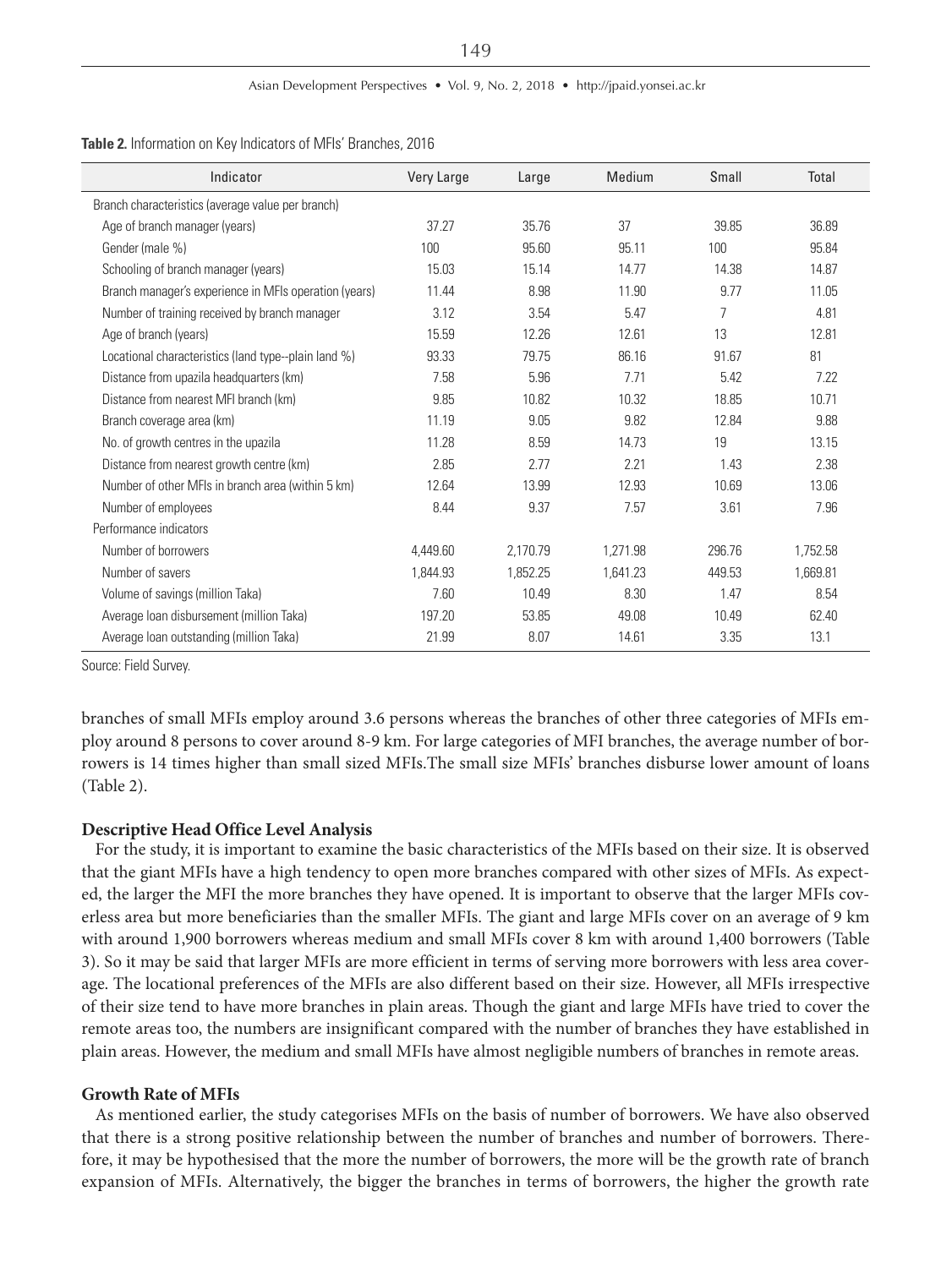| Indicator                                             | Very Large | Large    | Medium   | Small  | Total    |
|-------------------------------------------------------|------------|----------|----------|--------|----------|
| Branch characteristics (average value per branch)     |            |          |          |        |          |
| Age of branch manager (years)                         | 37.27      | 35.76    | 37       | 39.85  | 36.89    |
| Gender (male %)                                       | 100        | 95.60    | 95.11    | 100    | 95.84    |
| Schooling of branch manager (years)                   | 15.03      | 15.14    | 14.77    | 14.38  | 14.87    |
| Branch manager's experience in MFIs operation (years) | 11.44      | 8.98     | 11.90    | 9.77   | 11.05    |
| Number of training received by branch manager         | 3.12       | 3.54     | 5.47     | 7      | 4.81     |
| Age of branch (years)                                 | 15.59      | 12.26    | 12.61    | 13     | 12.81    |
| Locational characteristics (land type--plain land %)  | 93.33      | 79.75    | 86.16    | 91.67  | 81       |
| Distance from upazila headquarters (km)               | 7.58       | 5.96     | 7.71     | 5.42   | 7.22     |
| Distance from nearest MFI branch (km)                 | 9.85       | 10.82    | 10.32    | 18.85  | 10.71    |
| Branch coverage area (km)                             | 11.19      | 9.05     | 9.82     | 12.84  | 9.88     |
| No. of growth centres in the upazila                  | 11.28      | 8.59     | 14.73    | 19     | 13.15    |
| Distance from nearest growth centre (km)              | 2.85       | 2.77     | 2.21     | 1.43   | 2.38     |
| Number of other MFIs in branch area (within 5 km)     | 12.64      | 13.99    | 12.93    | 10.69  | 13.06    |
| Number of employees                                   | 8.44       | 9.37     | 7.57     | 3.61   | 7.96     |
| Performance indicators                                |            |          |          |        |          |
| Number of borrowers                                   | 4,449.60   | 2,170.79 | 1,271.98 | 296.76 | 1,752.58 |
| Number of savers                                      | 1,844.93   | 1,852.25 | 1.641.23 | 449.53 | 1,669.81 |
| Volume of savings (million Taka)                      | 7.60       | 10.49    | 8.30     | 1.47   | 8.54     |
| Average Ioan disbursement (million Taka)              | 197.20     | 53.85    | 49.08    | 10.49  | 62.40    |
| Average Ioan outstanding (million Taka)               | 21.99      | 8.07     | 14.61    | 3.35   | 13.1     |

**Table 2.** Information on Key Indicators of MFIs' Branches, 2016

Source: Field Survey.

branches of small MFIs employ around 3.6 persons whereas the branches of other three categories of MFIs employ around 8 persons to cover around 8-9 km. For large categories of MFI branches, the average number of borrowers is 14 times higher than small sized MFIs.The small size MFIs' branches disburse lower amount of loans (Table 2).

#### **Descriptive Head Office Level Analysis**

For the study, it is important to examine the basic characteristics of the MFIs based on their size. It is observed that the giant MFIs have a high tendency to open more branches compared with other sizes of MFIs. As expected, the larger the MFI the more branches they have opened. It is important to observe that the larger MFIs coverless area but more beneficiaries than the smaller MFIs. The giant and large MFIs cover on an average of 9 km with around 1,900 borrowers whereas medium and small MFIs cover 8 km with around 1,400 borrowers (Table 3). So it may be said that larger MFIs are more efficient in terms of serving more borrowers with less area coverage. The locational preferences of the MFIs are also different based on their size. However, all MFIs irrespective of their size tend to have more branches in plain areas. Though the giant and large MFIs have tried to cover the remote areas too, the numbers are insignificant compared with the number of branches they have established in plain areas. However, the medium and small MFIs have almost negligible numbers of branches in remote areas.

#### **Growth Rate of MFIs**

As mentioned earlier, the study categorises MFIs on the basis of number of borrowers. We have also observed that there is a strong positive relationship between the number of branches and number of borrowers. Therefore, it may be hypothesised that the more the number of borrowers, the more will be the growth rate of branch expansion of MFIs. Alternatively, the bigger the branches in terms of borrowers, the higher the growth rate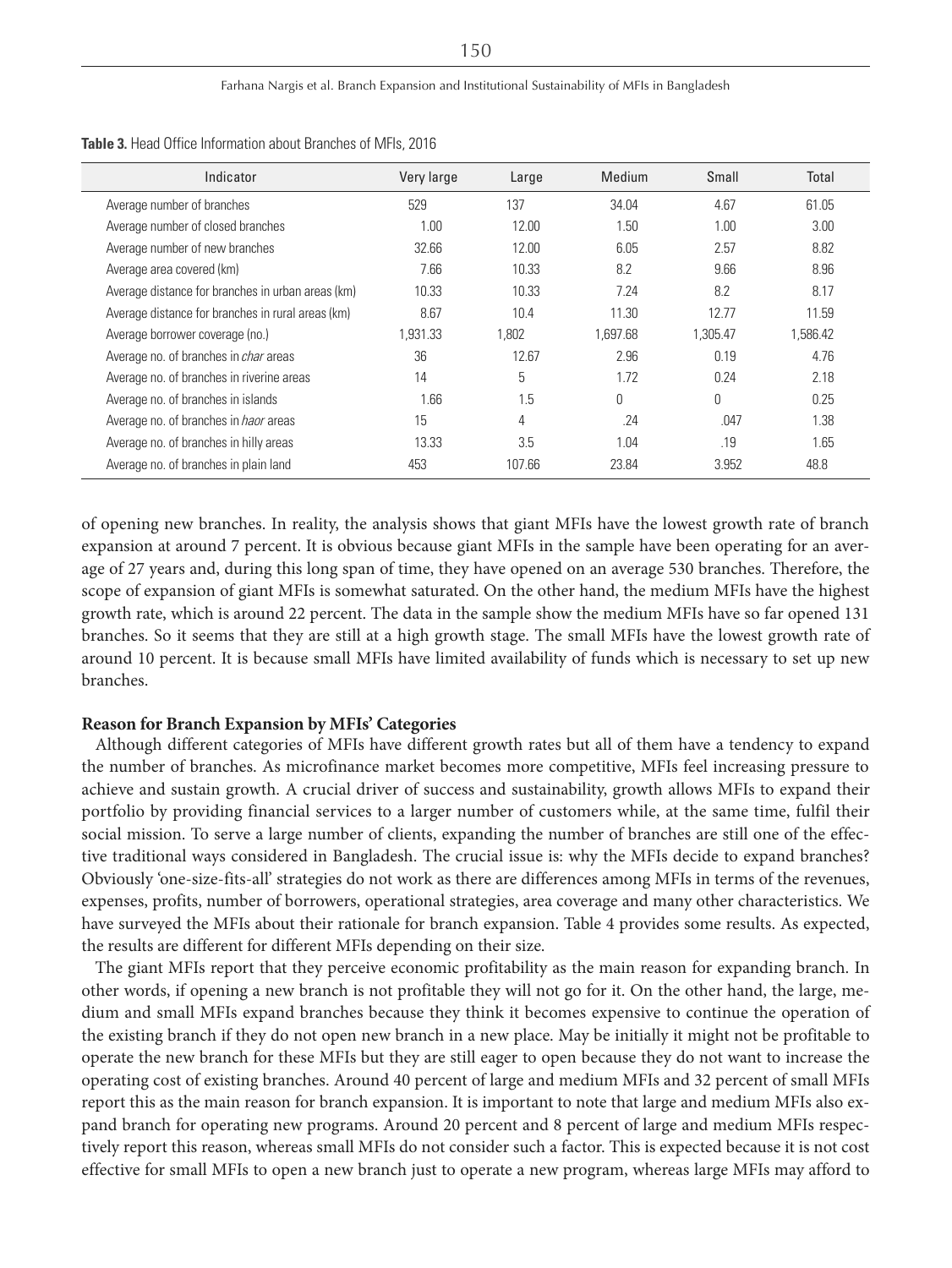| Indicator                                         | Very large | Large  | Medium   | Small    | Total    |
|---------------------------------------------------|------------|--------|----------|----------|----------|
| Average number of branches                        | 529        | 137    | 34.04    | 4.67     | 61.05    |
| Average number of closed branches                 | 1.00       | 12.00  | 1.50     | 1.00     | 3.00     |
| Average number of new branches                    | 32.66      | 12.00  | 6.05     | 2.57     | 8.82     |
| Average area covered (km)                         | 7.66       | 10.33  | 8.2      | 9.66     | 8.96     |
| Average distance for branches in urban areas (km) | 10.33      | 10.33  | 7.24     | 8.2      | 8.17     |
| Average distance for branches in rural areas (km) | 8.67       | 10.4   | 11.30    | 12.77    | 11.59    |
| Average borrower coverage (no.)                   | 1.931.33   | 1.802  | 1.697.68 | 1,305.47 | 1,586.42 |
| Average no. of branches in <i>char</i> areas      | 36         | 12.67  | 2.96     | 0.19     | 4.76     |
| Average no. of branches in riverine areas         | 14         | 5      | 1.72     | 0.24     | 2.18     |
| Average no. of branches in islands                | 1.66       | 1.5    | Ŋ        | 0        | 0.25     |
| Average no. of branches in <i>haor</i> areas      | 15         | 4      | .24      | .047     | 1.38     |
| Average no. of branches in hilly areas            | 13.33      | 3.5    | 1.04     | .19      | 1.65     |
| Average no. of branches in plain land             | 453        | 107.66 | 23.84    | 3.952    | 48.8     |

**Table 3.** Head Office Information about Branches of MFIs, 2016

of opening new branches. In reality, the analysis shows that giant MFIs have the lowest growth rate of branch expansion at around 7 percent. It is obvious because giant MFIs in the sample have been operating for an average of 27 years and, during this long span of time, they have opened on an average 530 branches. Therefore, the scope of expansion of giant MFIs is somewhat saturated. On the other hand, the medium MFIs have the highest growth rate, which is around 22 percent. The data in the sample show the medium MFIs have so far opened 131 branches. So it seems that they are still at a high growth stage. The small MFIs have the lowest growth rate of around 10 percent. It is because small MFIs have limited availability of funds which is necessary to set up new branches.

# **Reason for Branch Expansion by MFIs' Categories**

Although different categories of MFIs have different growth rates but all of them have a tendency to expand the number of branches. As microfinance market becomes more competitive, MFIs feel increasing pressure to achieve and sustain growth. A crucial driver of success and sustainability, growth allows MFIs to expand their portfolio by providing financial services to a larger number of customers while, at the same time, fulfil their social mission. To serve a large number of clients, expanding the number of branches are still one of the effective traditional ways considered in Bangladesh. The crucial issue is: why the MFIs decide to expand branches? Obviously 'one-size-fits-all' strategies do not work as there are differences among MFIs in terms of the revenues, expenses, profits, number of borrowers, operational strategies, area coverage and many other characteristics. We have surveyed the MFIs about their rationale for branch expansion. Table 4 provides some results. As expected, the results are different for different MFIs depending on their size.

The giant MFIs report that they perceive economic profitability as the main reason for expanding branch. In other words, if opening a new branch is not profitable they will not go for it. On the other hand, the large, medium and small MFIs expand branches because they think it becomes expensive to continue the operation of the existing branch if they do not open new branch in a new place. May be initially it might not be profitable to operate the new branch for these MFIs but they are still eager to open because they do not want to increase the operating cost of existing branches. Around 40 percent of large and medium MFIs and 32 percent of small MFIs report this as the main reason for branch expansion. It is important to note that large and medium MFIs also expand branch for operating new programs. Around 20 percent and 8 percent of large and medium MFIs respectively report this reason, whereas small MFIs do not consider such a factor. This is expected because it is not cost effective for small MFIs to open a new branch just to operate a new program, whereas large MFIs may afford to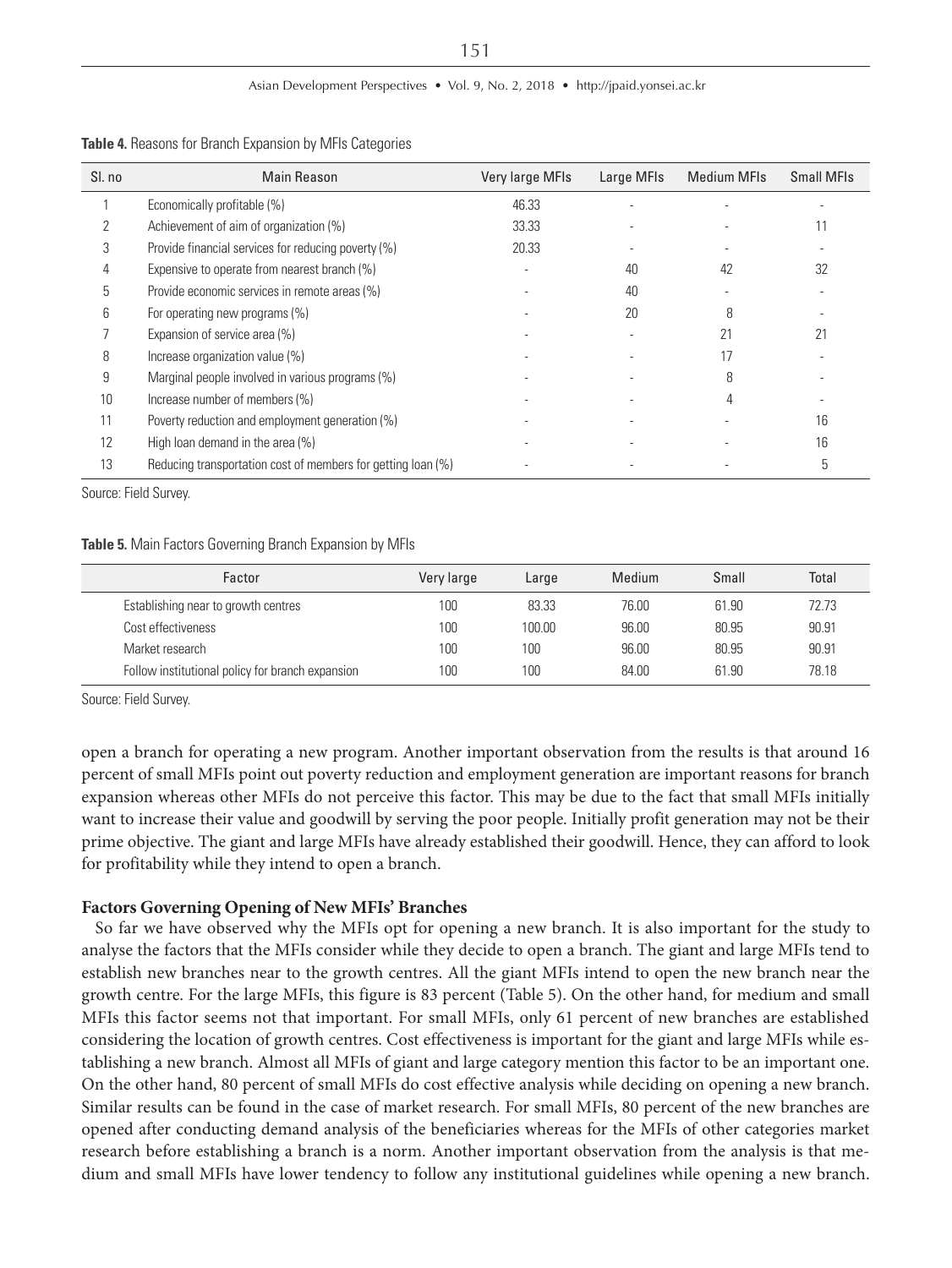| SI. no | <b>Main Reason</b>                                           | Very large MFIs | Large MFIs | <b>Medium MFIs</b> | <b>Small MFIs</b> |
|--------|--------------------------------------------------------------|-----------------|------------|--------------------|-------------------|
|        | Economically profitable (%)                                  | 46.33           |            |                    |                   |
|        | Achievement of aim of organization (%)                       | 33.33           |            |                    | 11                |
| 3      | Provide financial services for reducing poverty (%)          | 20.33           |            |                    |                   |
|        | Expensive to operate from nearest branch (%)                 |                 | 40         | 42                 | 32                |
| 5      | Provide economic services in remote areas (%)                |                 | 40         |                    |                   |
| b      | For operating new programs (%)                               |                 | 20         | 8                  |                   |
|        | Expansion of service area (%)                                |                 |            |                    | 21                |
| 8      | Increase organization value (%)                              |                 |            |                    |                   |
| 9      | Marginal people involved in various programs (%)             |                 |            | R                  |                   |
| 10     | Increase number of members (%)                               |                 |            |                    |                   |
|        | Poverty reduction and employment generation (%)              |                 |            |                    | 16                |
| 12     | High loan demand in the area (%)                             |                 |            |                    | 16                |
| 13     | Reducing transportation cost of members for getting loan (%) |                 |            |                    | 5                 |

**Table 4.** Reasons for Branch Expansion by MFIs Categories

Source: Field Survey.

#### **Table 5.** Main Factors Governing Branch Expansion by MFIs

| Factor                                           | Very large | Large  | Medium | Small | Total |
|--------------------------------------------------|------------|--------|--------|-------|-------|
| Establishing near to growth centres              | 100        | 83.33  | 76.00  | 61.90 | 72.73 |
| Cost effectiveness                               | 100        | 100.00 | 96.00  | 80.95 | 90.91 |
| Market research                                  | 100        | 100    | 96.00  | 80.95 | 90.91 |
| Follow institutional policy for branch expansion | 100        | 100    | 84.00  | 61.90 | 78.18 |

Source: Field Survey.

open a branch for operating a new program. Another important observation from the results is that around 16 percent of small MFIs point out poverty reduction and employment generation are important reasons for branch expansion whereas other MFIs do not perceive this factor. This may be due to the fact that small MFIs initially want to increase their value and goodwill by serving the poor people. Initially profit generation may not be their prime objective. The giant and large MFIs have already established their goodwill. Hence, they can afford to look for profitability while they intend to open a branch.

#### **Factors Governing Opening of New MFIs' Branches**

So far we have observed why the MFIs opt for opening a new branch. It is also important for the study to analyse the factors that the MFIs consider while they decide to open a branch. The giant and large MFIs tend to establish new branches near to the growth centres. All the giant MFIs intend to open the new branch near the growth centre. For the large MFIs, this figure is 83 percent (Table 5). On the other hand, for medium and small MFIs this factor seems not that important. For small MFIs, only 61 percent of new branches are established considering the location of growth centres. Cost effectiveness is important for the giant and large MFIs while establishing a new branch. Almost all MFIs of giant and large category mention this factor to be an important one. On the other hand, 80 percent of small MFIs do cost effective analysis while deciding on opening a new branch. Similar results can be found in the case of market research. For small MFIs, 80 percent of the new branches are opened after conducting demand analysis of the beneficiaries whereas for the MFIs of other categories market research before establishing a branch is a norm. Another important observation from the analysis is that medium and small MFIs have lower tendency to follow any institutional guidelines while opening a new branch.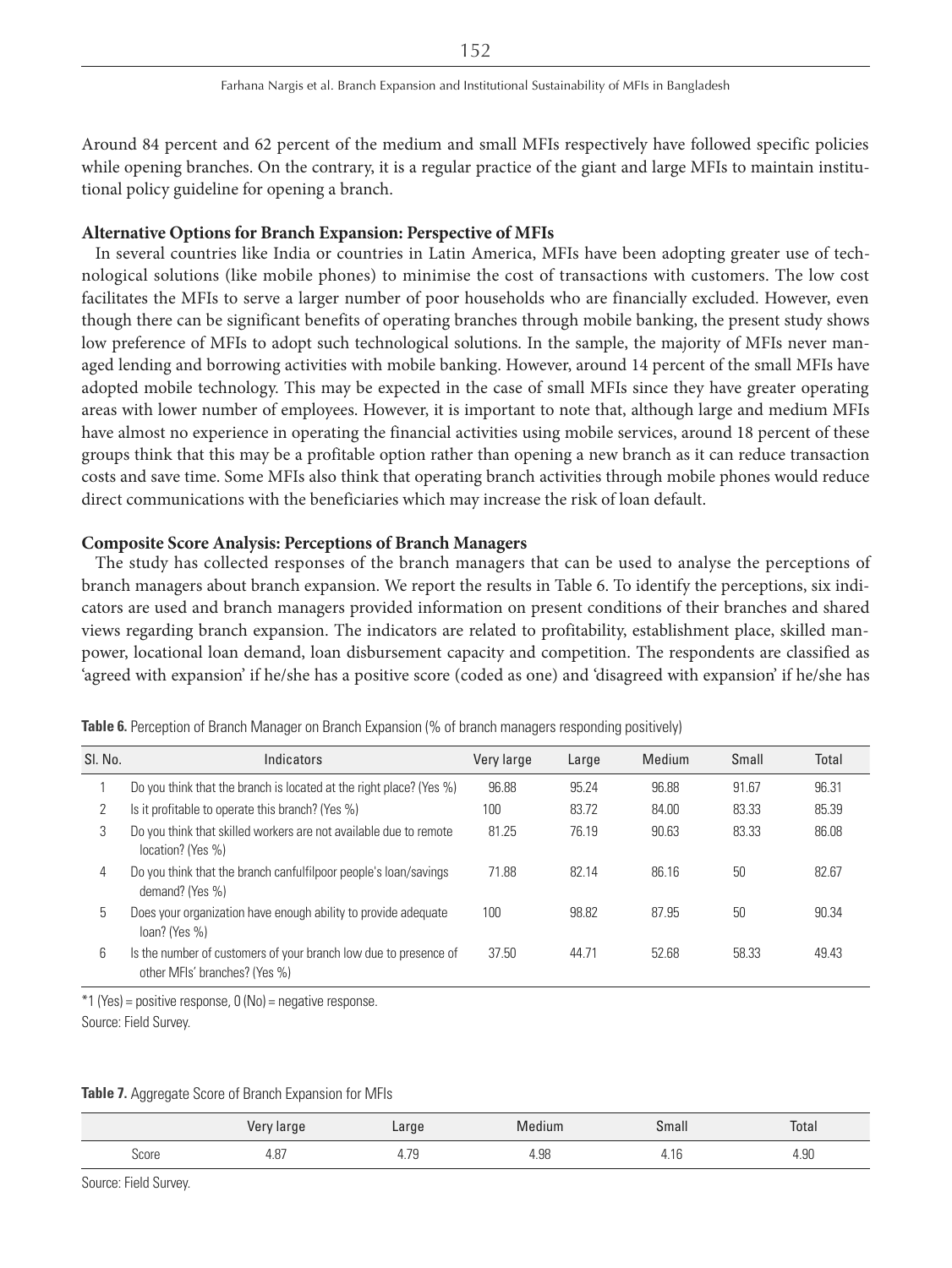Around 84 percent and 62 percent of the medium and small MFIs respectively have followed specific policies while opening branches. On the contrary, it is a regular practice of the giant and large MFIs to maintain institutional policy guideline for opening a branch.

#### **Alternative Options for Branch Expansion: Perspective of MFIs**

In several countries like India or countries in Latin America, MFIs have been adopting greater use of technological solutions (like mobile phones) to minimise the cost of transactions with customers. The low cost facilitates the MFIs to serve a larger number of poor households who are financially excluded. However, even though there can be significant benefits of operating branches through mobile banking, the present study shows low preference of MFIs to adopt such technological solutions. In the sample, the majority of MFIs never managed lending and borrowing activities with mobile banking. However, around 14 percent of the small MFIs have adopted mobile technology. This may be expected in the case of small MFIs since they have greater operating areas with lower number of employees. However, it is important to note that, although large and medium MFIs have almost no experience in operating the financial activities using mobile services, around 18 percent of these groups think that this may be a profitable option rather than opening a new branch as it can reduce transaction costs and save time. Some MFIs also think that operating branch activities through mobile phones would reduce direct communications with the beneficiaries which may increase the risk of loan default.

# **Composite Score Analysis: Perceptions of Branch Managers**

The study has collected responses of the branch managers that can be used to analyse the perceptions of branch managers about branch expansion. We report the results in Table 6. To identify the perceptions, six indicators are used and branch managers provided information on present conditions of their branches and shared views regarding branch expansion. The indicators are related to profitability, establishment place, skilled manpower, locational loan demand, loan disbursement capacity and competition. The respondents are classified as 'agreed with expansion' if he/she has a positive score (coded as one) and 'disagreed with expansion' if he/she has

| SI. No. | Indicators                                                                                        | Very large | Large | Medium | Small | Total |
|---------|---------------------------------------------------------------------------------------------------|------------|-------|--------|-------|-------|
|         | Do you think that the branch is located at the right place? (Yes %)                               | 96.88      | 95.24 | 96.88  | 91.67 | 96.31 |
|         | Is it profitable to operate this branch? (Yes %)                                                  | 100        | 83.72 | 84.00  | 83.33 | 85.39 |
| 3       | Do you think that skilled workers are not available due to remote<br>location? (Yes %)            | 81.25      | 76.19 | 90.63  | 83.33 | 86.08 |
| 4       | Do you think that the branch canfulfilpoor people's loan/savings<br>demand? (Yes %)               | 71.88      | 82.14 | 86.16  | 50    | 82.67 |
| 5       | Does your organization have enough ability to provide adequate<br>$loan?$ (Yes %)                 | 100        | 98.82 | 87.95  | 50    | 90.34 |
| 6       | Is the number of customers of your branch low due to presence of<br>other MFIs' branches? (Yes %) | 37.50      | 44.71 | 52.68  | 58.33 | 49.43 |

**Table 6.** Perception of Branch Manager on Branch Expansion (% of branch managers responding positively)

\*1 (Yes) = positive response, 0 (No) = negative response.

Source: Field Survey.

**Table 7.** Aggregate Score of Branch Expansion for MFIs

|              | Very large     | Large                                              | Medium                 | Small | Total               |
|--------------|----------------|----------------------------------------------------|------------------------|-------|---------------------|
| <b>Score</b> | $\sim$<br>4.0/ | $\overline{\phantom{a}}$<br><br><u>.</u><br>7. / J | $\sim$<br>- uv<br>4.JU | טו.⊤  | $\sim$<br>╰<br>4.JU |

Source: Field Survey.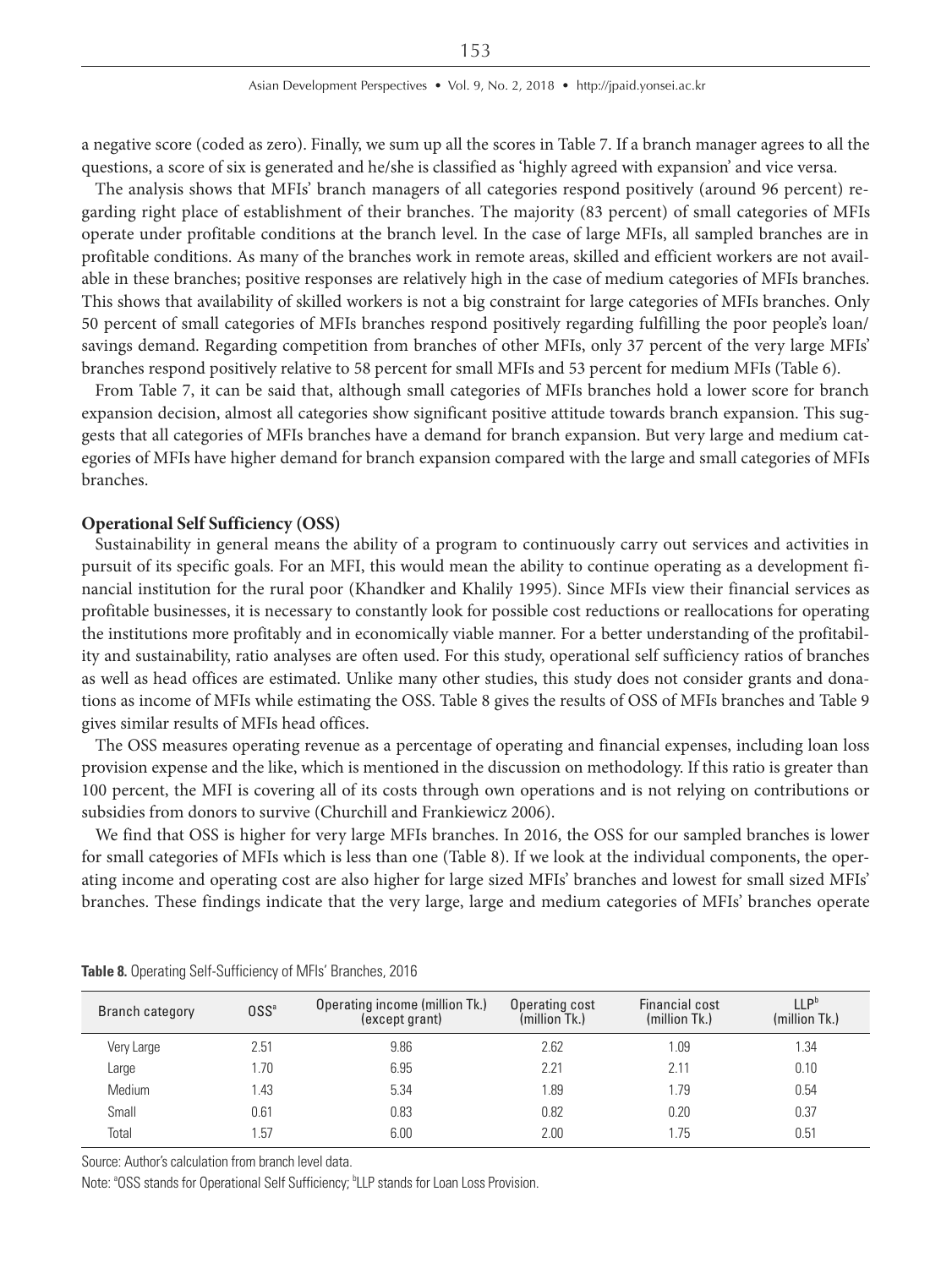a negative score (coded as zero). Finally, we sum up all the scores in Table 7. If a branch manager agrees to all the questions, a score of six is generated and he/she is classified as 'highly agreed with expansion' and vice versa.

The analysis shows that MFIs' branch managers of all categories respond positively (around 96 percent) regarding right place of establishment of their branches. The majority (83 percent) of small categories of MFIs operate under profitable conditions at the branch level. In the case of large MFIs, all sampled branches are in profitable conditions. As many of the branches work in remote areas, skilled and efficient workers are not available in these branches; positive responses are relatively high in the case of medium categories of MFIs branches. This shows that availability of skilled workers is not a big constraint for large categories of MFIs branches. Only 50 percent of small categories of MFIs branches respond positively regarding fulfilling the poor people's loan/ savings demand. Regarding competition from branches of other MFIs, only 37 percent of the very large MFIs' branches respond positively relative to 58 percent for small MFIs and 53 percent for medium MFIs (Table 6).

From Table 7, it can be said that, although small categories of MFIs branches hold a lower score for branch expansion decision, almost all categories show significant positive attitude towards branch expansion. This suggests that all categories of MFIs branches have a demand for branch expansion. But very large and medium categories of MFIs have higher demand for branch expansion compared with the large and small categories of MFIs branches.

# **Operational Self Sufficiency (OSS)**

Sustainability in general means the ability of a program to continuously carry out services and activities in pursuit of its specific goals. For an MFI, this would mean the ability to continue operating as a development financial institution for the rural poor (Khandker and Khalily 1995). Since MFIs view their financial services as profitable businesses, it is necessary to constantly look for possible cost reductions or reallocations for operating the institutions more profitably and in economically viable manner. For a better understanding of the profitability and sustainability, ratio analyses are often used. For this study, operational self sufficiency ratios of branches as well as head offices are estimated. Unlike many other studies, this study does not consider grants and donations as income of MFIs while estimating the OSS. Table 8 gives the results of OSS of MFIs branches and Table 9 gives similar results of MFIs head offices.

The OSS measures operating revenue as a percentage of operating and financial expenses, including loan loss provision expense and the like, which is mentioned in the discussion on methodology. If this ratio is greater than 100 percent, the MFI is covering all of its costs through own operations and is not relying on contributions or subsidies from donors to survive (Churchill and Frankiewicz 2006).

We find that OSS is higher for very large MFIs branches. In 2016, the OSS for our sampled branches is lower for small categories of MFIs which is less than one (Table 8). If we look at the individual components, the operating income and operating cost are also higher for large sized MFIs' branches and lowest for small sized MFIs' branches. These findings indicate that the very large, large and medium categories of MFIs' branches operate

| Branch category | 0SS <sup>a</sup> | Operating income (million Tk.)<br>(except grant) | Operating cost<br>(million Tk.) | Financial cost<br>(million Tk.) | 11P <sup>b</sup><br>(million Tk.) |
|-----------------|------------------|--------------------------------------------------|---------------------------------|---------------------------------|-----------------------------------|
| Very Large      | 2.51             | 9.86                                             | 2.62                            | 1.09                            | 1.34                              |
| Large           | 1.70             | 6.95                                             | 2.21                            | 2.11                            | 0.10                              |
| Medium          | 1.43             | 5.34                                             | 1.89                            | 1.79                            | 0.54                              |
| Small           | 0.61             | 0.83                                             | 0.82                            | 0.20                            | 0.37                              |
| Total           | .57              | 6.00                                             | 2.00                            | 1.75                            | 0.51                              |

**Table 8.** Operating Self-Sufficiency of MFIs' Branches, 2016

Source: Author's calculation from branch level data.

Note: <sup>a</sup>OSS stands for Operational Self Sufficiency; <sup>b</sup>LLP stands for Loan Loss Provision.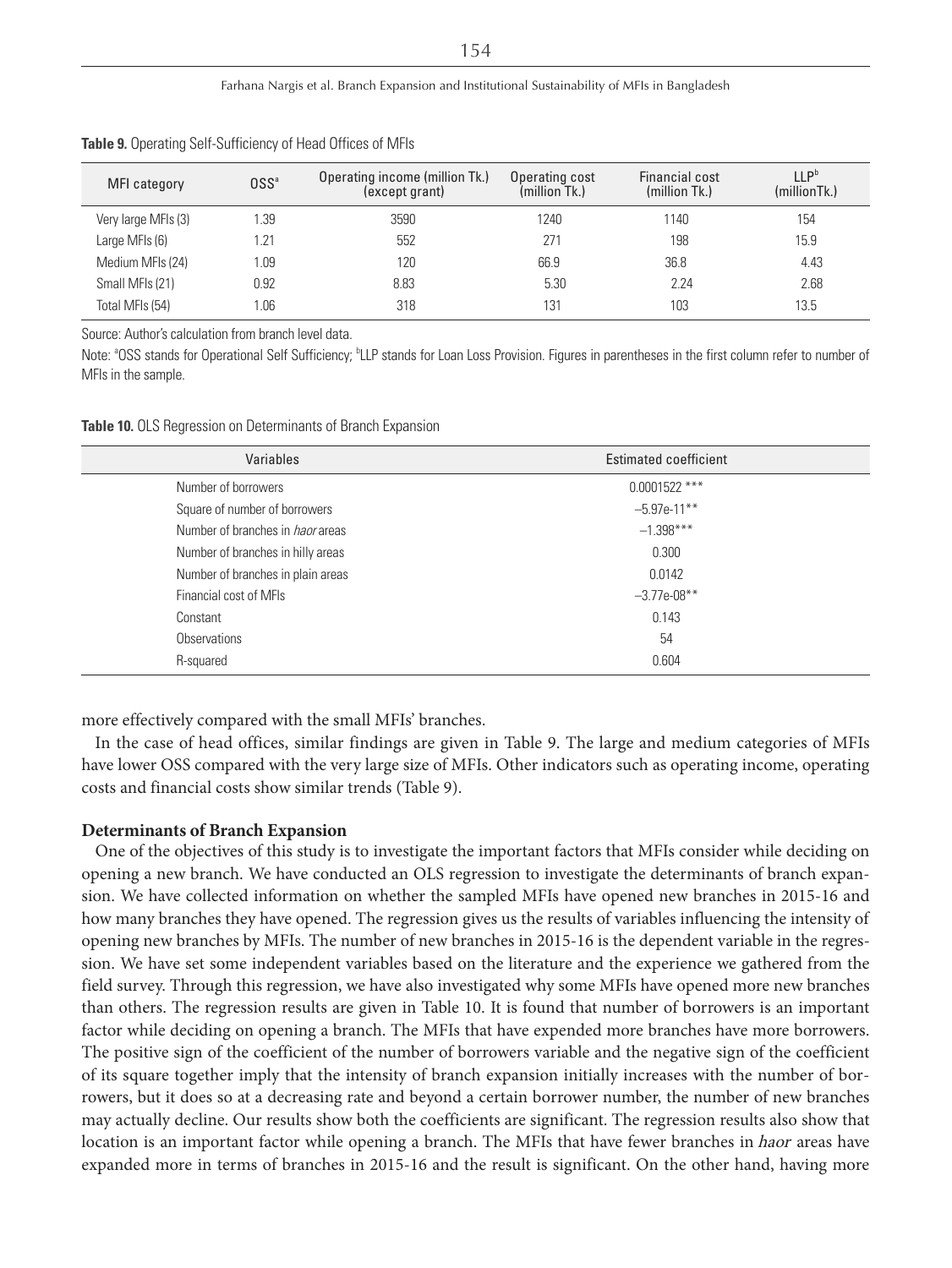| MFI category        | 0SS <sup>a</sup> | Operating income (million Tk.)<br>(except grant) | Operating cost<br>(million Tk.) | Financial cost<br>(million Tk.) | II P <sup>b</sup><br>(millionTk.) |
|---------------------|------------------|--------------------------------------------------|---------------------------------|---------------------------------|-----------------------------------|
| Very large MFIs (3) | 1.39             | 3590                                             | 1240                            | 1140                            | 154                               |
| Large MFIs (6)      | 1.21             | 552                                              | 271                             | 198                             | 15.9                              |
| Medium MFIs (24)    | l.09             | 120                                              | 66.9                            | 36.8                            | 4.43                              |
| Small MFIs (21)     | 0.92             | 8.83                                             | 5.30                            | 2.24                            | 2.68                              |
| Total MFIs (54)     | .06              | 318                                              | 131                             | 103                             | 13.5                              |

#### **Table 9.** Operating Self-Sufficiency of Head Offices of MFIs

Source: Author's calculation from branch level data.

Note: <sup>a</sup>OSS stands for Operational Self Sufficiency; <sup>b</sup>LLP stands for Loan Loss Provision. Figures in parentheses in the first column refer to number of MFIs in the sample.

**Table 10.** OLS Regression on Determinants of Branch Expansion

| <b>Estimated coefficient</b> |
|------------------------------|
| $0.0001522$ ***              |
| $-5.97e-11***$               |
| $-1.398***$                  |
| 0.300                        |
| 0.0142                       |
| $-3.77e-08**$                |
| 0.143                        |
| 54                           |
| 0.604                        |
|                              |

more effectively compared with the small MFIs' branches.

In the case of head offices, similar findings are given in Table 9. The large and medium categories of MFIs have lower OSS compared with the very large size of MFIs. Other indicators such as operating income, operating costs and financial costs show similar trends (Table 9).

#### **Determinants of Branch Expansion**

One of the objectives of this study is to investigate the important factors that MFIs consider while deciding on opening a new branch. We have conducted an OLS regression to investigate the determinants of branch expansion. We have collected information on whether the sampled MFIs have opened new branches in 2015-16 and how many branches they have opened. The regression gives us the results of variables influencing the intensity of opening new branches by MFIs. The number of new branches in 2015-16 is the dependent variable in the regression. We have set some independent variables based on the literature and the experience we gathered from the field survey. Through this regression, we have also investigated why some MFIs have opened more new branches than others. The regression results are given in Table 10. It is found that number of borrowers is an important factor while deciding on opening a branch. The MFIs that have expended more branches have more borrowers. The positive sign of the coefficient of the number of borrowers variable and the negative sign of the coefficient of its square together imply that the intensity of branch expansion initially increases with the number of borrowers, but it does so at a decreasing rate and beyond a certain borrower number, the number of new branches may actually decline. Our results show both the coefficients are significant. The regression results also show that location is an important factor while opening a branch. The MFIs that have fewer branches in *haor* areas have expanded more in terms of branches in 2015-16 and the result is significant. On the other hand, having more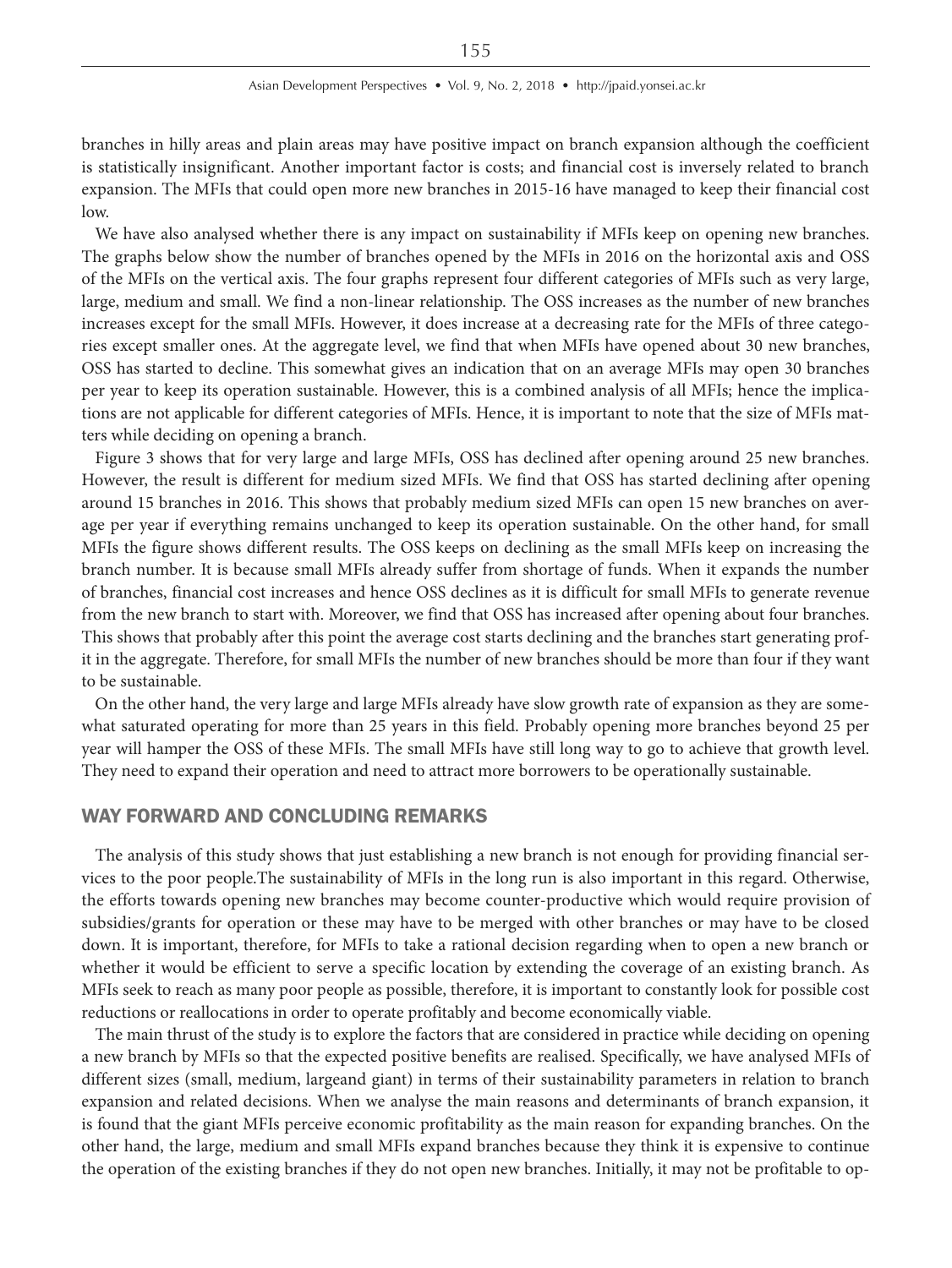branches in hilly areas and plain areas may have positive impact on branch expansion although the coefficient is statistically insignificant. Another important factor is costs; and financial cost is inversely related to branch expansion. The MFIs that could open more new branches in 2015-16 have managed to keep their financial cost low.

We have also analysed whether there is any impact on sustainability if MFIs keep on opening new branches. The graphs below show the number of branches opened by the MFIs in 2016 on the horizontal axis and OSS of the MFIs on the vertical axis. The four graphs represent four different categories of MFIs such as very large, large, medium and small. We find a non-linear relationship. The OSS increases as the number of new branches increases except for the small MFIs. However, it does increase at a decreasing rate for the MFIs of three categories except smaller ones. At the aggregate level, we find that when MFIs have opened about 30 new branches, OSS has started to decline. This somewhat gives an indication that on an average MFIs may open 30 branches per year to keep its operation sustainable. However, this is a combined analysis of all MFIs; hence the implications are not applicable for different categories of MFIs. Hence, it is important to note that the size of MFIs matters while deciding on opening a branch.

Figure 3 shows that for very large and large MFIs, OSS has declined after opening around 25 new branches. However, the result is different for medium sized MFIs. We find that OSS has started declining after opening around 15 branches in 2016. This shows that probably medium sized MFIs can open 15 new branches on average per year if everything remains unchanged to keep its operation sustainable. On the other hand, for small MFIs the figure shows different results. The OSS keeps on declining as the small MFIs keep on increasing the branch number. It is because small MFIs already suffer from shortage of funds. When it expands the number of branches, financial cost increases and hence OSS declines as it is difficult for small MFIs to generate revenue from the new branch to start with. Moreover, we find that OSS has increased after opening about four branches. This shows that probably after this point the average cost starts declining and the branches start generating profit in the aggregate. Therefore, for small MFIs the number of new branches should be more than four if they want to be sustainable.

On the other hand, the very large and large MFIs already have slow growth rate of expansion as they are somewhat saturated operating for more than 25 years in this field. Probably opening more branches beyond 25 per year will hamper the OSS of these MFIs. The small MFIs have still long way to go to achieve that growth level. They need to expand their operation and need to attract more borrowers to be operationally sustainable.

# WAY FORWARD AND CONCLUDING REMARKS

The analysis of this study shows that just establishing a new branch is not enough for providing financial services to the poor people.The sustainability of MFIs in the long run is also important in this regard. Otherwise, the efforts towards opening new branches may become counter-productive which would require provision of subsidies/grants for operation or these may have to be merged with other branches or may have to be closed down. It is important, therefore, for MFIs to take a rational decision regarding when to open a new branch or whether it would be efficient to serve a specific location by extending the coverage of an existing branch. As MFIs seek to reach as many poor people as possible, therefore, it is important to constantly look for possible cost reductions or reallocations in order to operate profitably and become economically viable.

The main thrust of the study is to explore the factors that are considered in practice while deciding on opening a new branch by MFIs so that the expected positive benefits are realised. Specifically, we have analysed MFIs of different sizes (small, medium, largeand giant) in terms of their sustainability parameters in relation to branch expansion and related decisions. When we analyse the main reasons and determinants of branch expansion, it is found that the giant MFIs perceive economic profitability as the main reason for expanding branches. On the other hand, the large, medium and small MFIs expand branches because they think it is expensive to continue the operation of the existing branches if they do not open new branches. Initially, it may not be profitable to op-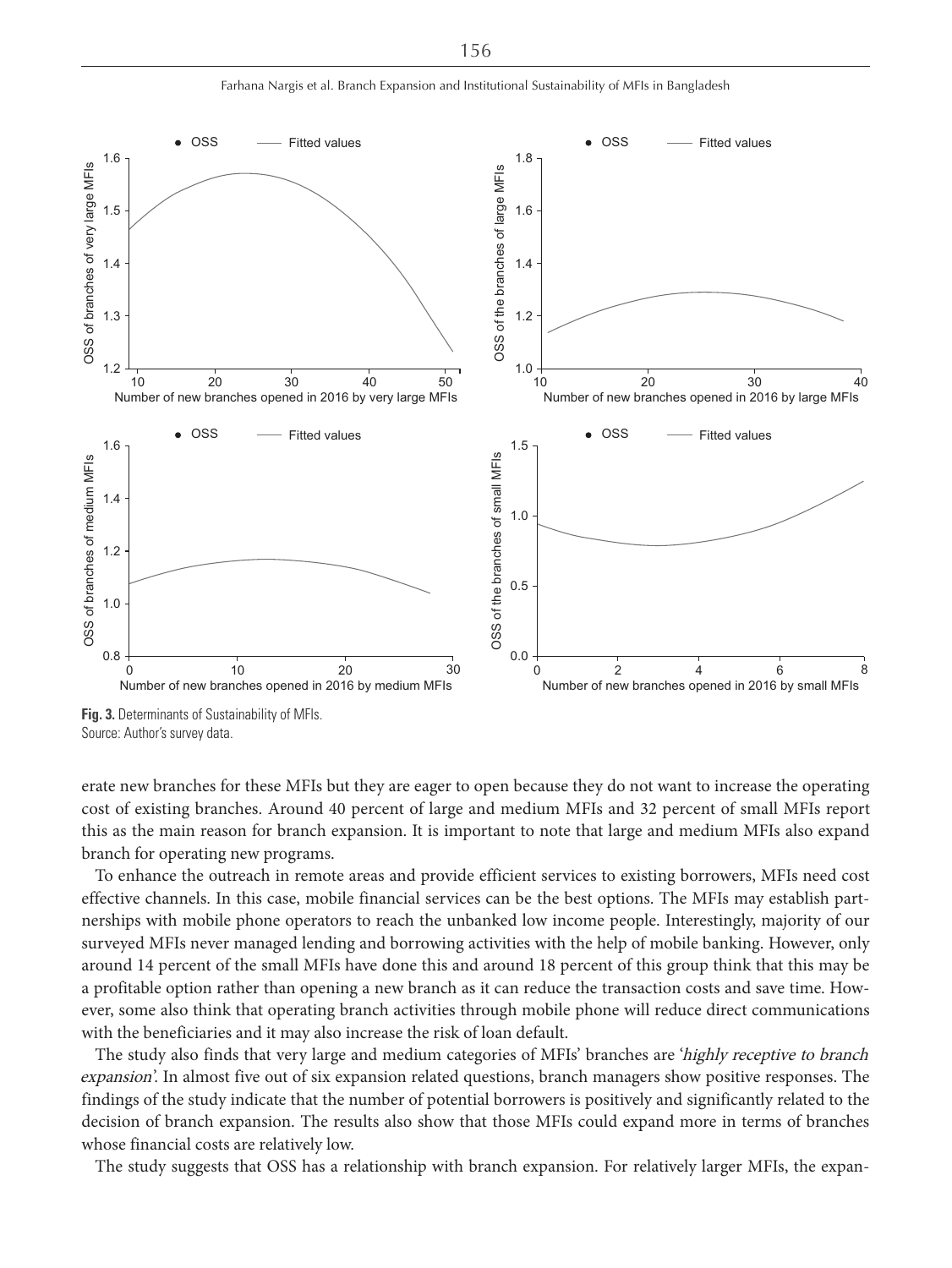Farhana Nargis et al. Branch Expansion and Institutional Sustainability of MFIs in Bangladesh



**Fig. 3.** Determinants of Sustainability of MFIs. Source: Author's survey data.

erate new branches for these MFIs but they are eager to open because they do not want to increase the operating cost of existing branches. Around 40 percent of large and medium MFIs and 32 percent of small MFIs report this as the main reason for branch expansion. It is important to note that large and medium MFIs also expand branch for operating new programs.

To enhance the outreach in remote areas and provide efficient services to existing borrowers, MFIs need cost effective channels. In this case, mobile financial services can be the best options. The MFIs may establish partnerships with mobile phone operators to reach the unbanked low income people. Interestingly, majority of our surveyed MFIs never managed lending and borrowing activities with the help of mobile banking. However, only around 14 percent of the small MFIs have done this and around 18 percent of this group think that this may be a profitable option rather than opening a new branch as it can reduce the transaction costs and save time. However, some also think that operating branch activities through mobile phone will reduce direct communications with the beneficiaries and it may also increase the risk of loan default.

The study also finds that very large and medium categories of MFIs' branches are 'highly receptive to branch expansion'. In almost five out of six expansion related questions, branch managers show positive responses. The findings of the study indicate that the number of potential borrowers is positively and significantly related to the decision of branch expansion. The results also show that those MFIs could expand more in terms of branches whose financial costs are relatively low.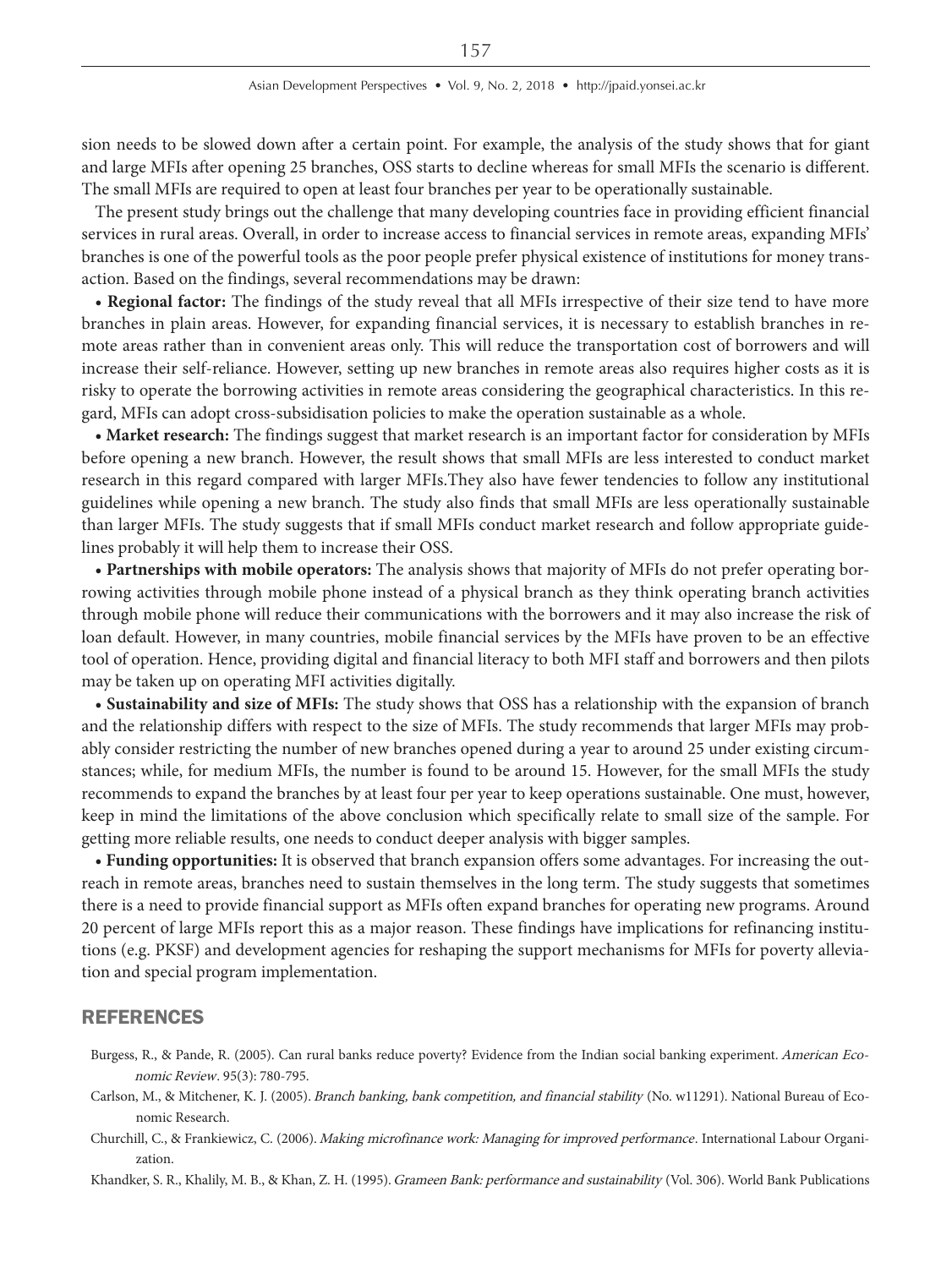sion needs to be slowed down after a certain point. For example, the analysis of the study shows that for giant and large MFIs after opening 25 branches, OSS starts to decline whereas for small MFIs the scenario is different. The small MFIs are required to open at least four branches per year to be operationally sustainable.

The present study brings out the challenge that many developing countries face in providing efficient financial services in rural areas. Overall, in order to increase access to financial services in remote areas, expanding MFIs' branches is one of the powerful tools as the poor people prefer physical existence of institutions for money transaction. Based on the findings, several recommendations may be drawn:

**• Regional factor:** The findings of the study reveal that all MFIs irrespective of their size tend to have more branches in plain areas. However, for expanding financial services, it is necessary to establish branches in remote areas rather than in convenient areas only. This will reduce the transportation cost of borrowers and will increase their self-reliance. However, setting up new branches in remote areas also requires higher costs as it is risky to operate the borrowing activities in remote areas considering the geographical characteristics. In this regard, MFIs can adopt cross-subsidisation policies to make the operation sustainable as a whole.

**• Market research:** The findings suggest that market research is an important factor for consideration by MFIs before opening a new branch. However, the result shows that small MFIs are less interested to conduct market research in this regard compared with larger MFIs.They also have fewer tendencies to follow any institutional guidelines while opening a new branch. The study also finds that small MFIs are less operationally sustainable than larger MFIs. The study suggests that if small MFIs conduct market research and follow appropriate guidelines probably it will help them to increase their OSS.

**• Partnerships with mobile operators:** The analysis shows that majority of MFIs do not prefer operating borrowing activities through mobile phone instead of a physical branch as they think operating branch activities through mobile phone will reduce their communications with the borrowers and it may also increase the risk of loan default. However, in many countries, mobile financial services by the MFIs have proven to be an effective tool of operation. Hence, providing digital and financial literacy to both MFI staff and borrowers and then pilots may be taken up on operating MFI activities digitally.

**• Sustainability and size of MFIs:** The study shows that OSS has a relationship with the expansion of branch and the relationship differs with respect to the size of MFIs. The study recommends that larger MFIs may probably consider restricting the number of new branches opened during a year to around 25 under existing circumstances; while, for medium MFIs, the number is found to be around 15. However, for the small MFIs the study recommends to expand the branches by at least four per year to keep operations sustainable. One must, however, keep in mind the limitations of the above conclusion which specifically relate to small size of the sample. For getting more reliable results, one needs to conduct deeper analysis with bigger samples.

**• Funding opportunities:** It is observed that branch expansion offers some advantages. For increasing the outreach in remote areas, branches need to sustain themselves in the long term. The study suggests that sometimes there is a need to provide financial support as MFIs often expand branches for operating new programs. Around 20 percent of large MFIs report this as a major reason. These findings have implications for refinancing institutions (e.g. PKSF) and development agencies for reshaping the support mechanisms for MFIs for poverty alleviation and special program implementation.

# REFERENCES

- Burgess, R., & Pande, R. (2005). Can rural banks reduce poverty? Evidence from the Indian social banking experiment. American Economic Review. 95(3): 780-795.
- Carlson, M., & Mitchener, K. J. (2005). Branch banking, bank competition, and financial stability (No. w11291). National Bureau of Economic Research.
- Churchill, C., & Frankiewicz, C. (2006). Making microfinance work: Managing for improved performance. International Labour Organization.
- Khandker, S. R., Khalily, M. B., & Khan, Z. H. (1995). Grameen Bank: performance and sustainability (Vol. 306). World Bank Publications